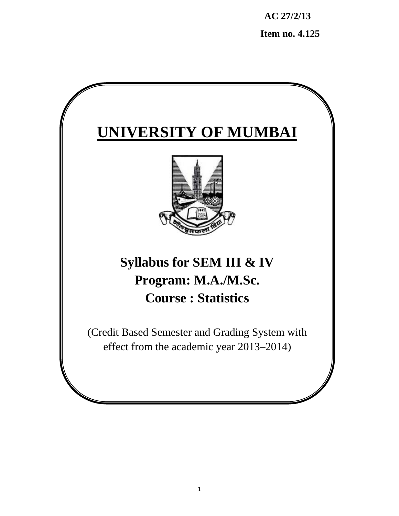**AC 27/2/13** 

 **Item no. 4.125** 

# **UNIVERSITY OF MUMBAI**



# **Syllabus for SEM III & IV Program: M.A./M.Sc. Course : Statistics**

(Credit Based Semester and Grading System with effect from the academic year 2013–2014)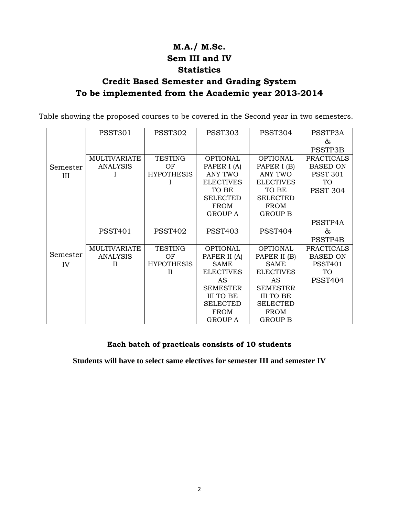# **M.A./ M.Sc. Sem III and IV Statistics**

# **Credit Based Semester and Grading System To be implemented from the Academic year 2013-2014**

Table showing the proposed courses to be covered in the Second year in two semesters.

|          | <b>PSST301</b>      | <b>PSST302</b>    | <b>PSST303</b>   | PSST304          | PSSTP3A           |
|----------|---------------------|-------------------|------------------|------------------|-------------------|
|          |                     |                   |                  |                  | &                 |
|          |                     |                   |                  |                  | PSSTP3B           |
|          | <b>MULTIVARIATE</b> | TESTING           | <b>OPTIONAL</b>  | <b>OPTIONAL</b>  | <b>PRACTICALS</b> |
| Semester | <b>ANALYSIS</b>     | OF                | PAPER I (A)      | PAPER I (B)      | <b>BASED ON</b>   |
| Ш        |                     | <b>HYPOTHESIS</b> | ANY TWO          | ANY TWO          | <b>PSST 301</b>   |
|          |                     | L                 | <b>ELECTIVES</b> | <b>ELECTIVES</b> | TO                |
|          |                     |                   | TO BE            | TO BE            | <b>PSST 304</b>   |
|          |                     |                   | <b>SELECTED</b>  | <b>SELECTED</b>  |                   |
|          |                     |                   | <b>FROM</b>      | <b>FROM</b>      |                   |
|          |                     |                   | <b>GROUP A</b>   | <b>GROUP B</b>   |                   |
|          |                     |                   |                  |                  | PSSTP4A           |
|          | <b>PSST401</b>      | <b>PSST402</b>    | <b>PSST403</b>   | <b>PSST404</b>   | &                 |
|          |                     |                   |                  |                  | PSSTP4B           |
|          | <b>MULTIVARIATE</b> | <b>TESTING</b>    | <b>OPTIONAL</b>  | <b>OPTIONAL</b>  | <b>PRACTICALS</b> |
| Semester | <b>ANALYSIS</b>     | OF                | PAPER II (A)     | PAPER II (B)     | <b>BASED ON</b>   |
| IV       | Н                   | <b>HYPOTHESIS</b> | SAME             | SAME             | <b>PSST401</b>    |
|          |                     | Н                 | <b>ELECTIVES</b> | <b>ELECTIVES</b> | TO.               |
|          |                     |                   | AS               | AS               | <b>PSST404</b>    |
|          |                     |                   | <b>SEMESTER</b>  | <b>SEMESTER</b>  |                   |
|          |                     |                   | III TO BE        | III TO BE        |                   |
|          |                     |                   | <b>SELECTED</b>  | <b>SELECTED</b>  |                   |
|          |                     |                   | <b>FROM</b>      | <b>FROM</b>      |                   |
|          |                     |                   | <b>GROUP A</b>   | <b>GROUP B</b>   |                   |

## **Each batch of practicals consists of 10 students**

**Students will have to select same electives for semester III and semester IV**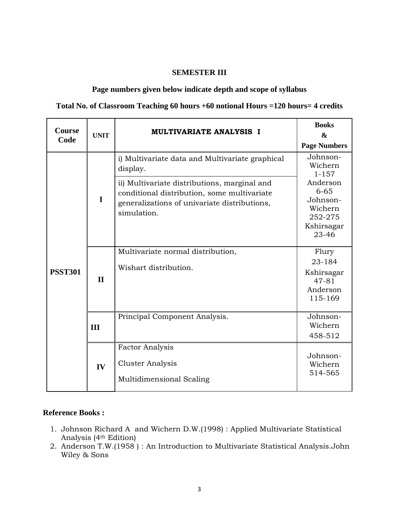## **SEMESTER III**

## **Page numbers given below indicate depth and scope of syllabus**

## **Total No. of Classroom Teaching 60 hours +60 notional Hours =120 hours= 4 credits**

| Course<br>Code | <b>UNIT</b>  | <b>MULTIVARIATE ANALYSIS I</b>                                                                                                                             | <b>Books</b><br>$\boldsymbol{\&}$<br><b>Page Numbers</b>                      |
|----------------|--------------|------------------------------------------------------------------------------------------------------------------------------------------------------------|-------------------------------------------------------------------------------|
| <b>PSST301</b> | $\mathbf I$  | i) Multivariate data and Multivariate graphical<br>display.                                                                                                | Johnson-<br>Wichern<br>$1 - 157$                                              |
|                |              | ii) Multivariate distributions, marginal and<br>conditional distribution, some multivariate<br>generalizations of univariate distributions,<br>simulation. | Anderson<br>$6 - 65$<br>Johnson-<br>Wichern<br>252-275<br>Kshirsagar<br>23-46 |
|                | $\mathbf{I}$ | Multivariate normal distribution,<br>Wishart distribution.                                                                                                 | Flury<br>23-184<br>Kshirsagar<br>$47 - 81$<br>Anderson<br>115-169             |
|                | III          | Principal Component Analysis.                                                                                                                              | Johnson-<br>Wichern<br>458-512                                                |
|                | IV           | <b>Factor Analysis</b><br>Cluster Analysis<br>Multidimensional Scaling                                                                                     | Johnson-<br>Wichern<br>514-565                                                |

## **Reference Books :**

- 1. Johnson Richard A and Wichern D.W.(1998) : Applied Multivariate Statistical Analysis (4th Edition)
- 2. Anderson T.W.(1958) : An Introduction to Multivariate Statistical Analysis.John Wiley & Sons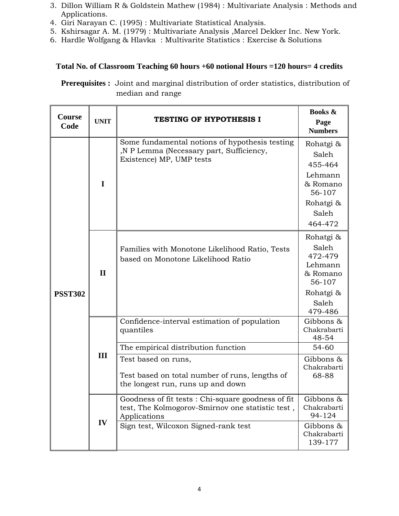- 3. Dillon William R & Goldstein Mathew (1984) : Multivariate Analysis : Methods and Applications.
- 4. Giri Narayan C. (1995) : Multivariate Statistical Analysis.
- 5. Kshirsagar A. M. (1979) : Multivariate Analysis ,Marcel Dekker Inc. New York.
- 6. Hardle Wolfgang & Hlavka : Multivarite Statistics : Exercise & Solutions

# **Total No. of Classroom Teaching 60 hours +60 notional Hours =120 hours= 4 credits**

**Prerequisites :** Joint and marginal distribution of order statistics, distribution of median and range

| Course<br>Code | <b>UNIT</b>  | <b>TESTING OF HYPOTHESIS I</b>                                                                                         | <b>Books &amp;</b><br>Page<br><b>Numbers</b>                                                    |
|----------------|--------------|------------------------------------------------------------------------------------------------------------------------|-------------------------------------------------------------------------------------------------|
| <b>PSST302</b> | I            | Some fundamental notions of hypothesis testing<br>,N P Lemma (Necessary part, Sufficiency,<br>Existence) MP, UMP tests | Rohatgi &<br>Saleh<br>455-464<br>Lehmann<br>& Romano<br>56-107<br>Rohatgi &<br>Saleh<br>464-472 |
|                | $\mathbf{I}$ | Families with Monotone Likelihood Ratio, Tests<br>based on Monotone Likelihood Ratio                                   | Rohatgi &<br>Saleh<br>472-479<br>Lehmann<br>& Romano<br>56-107<br>Rohatgi &<br>Saleh<br>479-486 |
|                |              | Confidence-interval estimation of population<br>quantiles                                                              | Gibbons &<br>Chakrabarti<br>48-54                                                               |
|                |              | The empirical distribution function                                                                                    | 54-60                                                                                           |
|                | III          | Test based on runs,<br>Test based on total number of runs, lengths of<br>the longest run, runs up and down             | Gibbons &<br>Chakrabarti<br>68-88                                                               |
|                | IV           | Goodness of fit tests: Chi-square goodness of fit<br>test, The Kolmogorov-Smirnov one statistic test,<br>Applications  | Gibbons &<br>Chakrabarti<br>94-124                                                              |
|                |              | Sign test, Wilcoxon Signed-rank test                                                                                   | Gibbons &<br>Chakrabarti<br>139-177                                                             |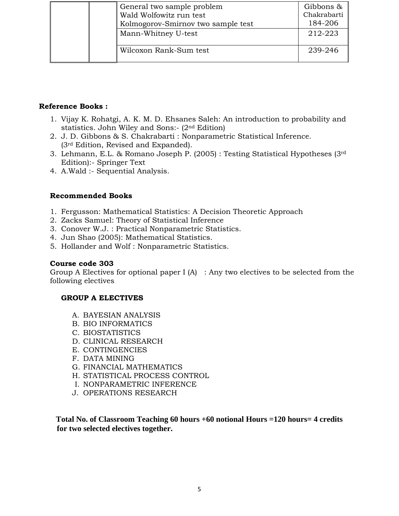|  | General two sample problem         | Gibbons &   |
|--|------------------------------------|-------------|
|  | Wald Wolfowitz run test            | Chakrabarti |
|  | Kolmogorov-Smirnov two sample test | 184-206     |
|  | Mann-Whitney U-test                | 212-223     |
|  |                                    |             |
|  | Wilcoxon Rank-Sum test             | 239-246     |
|  |                                    |             |

- 1. Vijay K. Rohatgi, A. K. M. D. Ehsanes Saleh: An introduction to probability and statistics. John Wiley and Sons:- (2nd Edition)
- 2. J. D. Gibbons & S. Chakrabarti : Nonparametric Statistical Inference. (3rd Edition, Revised and Expanded).
- 3. Lehmann, E.L. & Romano Joseph P. (2005) : Testing Statistical Hypotheses (3rd Edition):- Springer Text
- 4. A.Wald :- Sequential Analysis.

## **Recommended Books**

- 1. Fergusson: Mathematical Statistics: A Decision Theoretic Approach
- 2. Zacks Samuel: Theory of Statistical Inference
- 3. Conover W.J. : Practical Nonparametric Statistics.
- 4. Jun Shao (2005): Mathematical Statistics.
- 5. Hollander and Wolf : Nonparametric Statistics.

## **Course code 303**

Group A Electives for optional paper I  $(A)$  : Any two electives to be selected from the following electives

## **GROUP A ELECTIVES**

- A. BAYESIAN ANALYSIS
- B. BIO INFORMATICS
- C. BIOSTATISTICS
- D. CLINICAL RESEARCH
- E. CONTINGENCIES
- F. DATA MINING
- G. FINANCIAL MATHEMATICS
- H. STATISTICAL PROCESS CONTROL
- I. NONPARAMETRIC INFERENCE
- J. OPERATIONS RESEARCH

**Total No. of Classroom Teaching 60 hours +60 notional Hours =120 hours= 4 credits for two selected electives together.**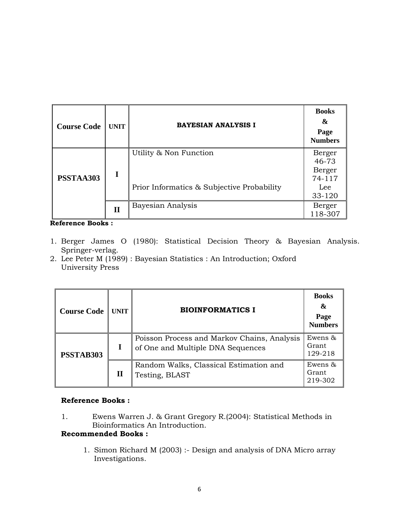| <b>Course Code</b> | <b>UNIT</b>  | <b>BAYESIAN ANALYSIS I</b>                                           | <b>Books</b><br>&<br>Page<br><b>Numbers</b>          |
|--------------------|--------------|----------------------------------------------------------------------|------------------------------------------------------|
| PSSTAA303          | I            | Utility & Non Function<br>Prior Informatics & Subjective Probability | Berger<br>46-73<br>Berger<br>74-117<br>Lee<br>33-120 |
|                    | $\mathbf{I}$ | Bayesian Analysis                                                    | Berger<br>118-307                                    |

- 1. Berger James O (1980): Statistical Decision Theory & Bayesian Analysis. Springer-verlag.
- 2. Lee Peter M (1989) : Bayesian Statistics : An Introduction; Oxford University Press

| <b>Course Code</b> | <b>UNIT</b> | <b>BIOINFORMATICS I</b>                                                          | <b>Books</b><br>&<br>Page<br><b>Numbers</b> |
|--------------------|-------------|----------------------------------------------------------------------------------|---------------------------------------------|
| PSSTAB303          |             | Poisson Process and Markov Chains, Analysis<br>of One and Multiple DNA Sequences | Ewens &<br>Grant<br>129-218                 |
|                    | П           | Random Walks, Classical Estimation and<br>Testing, BLAST                         | Ewens $\&$<br>Grant<br>219-302              |

## **Reference Books :**

1. Ewens Warren J. & Grant Gregory R.(2004): Statistical Methods in Bioinformatics An Introduction.

## **Recommended Books :**

1. Simon Richard M (2003) :- Design and analysis of DNA Micro array Investigations.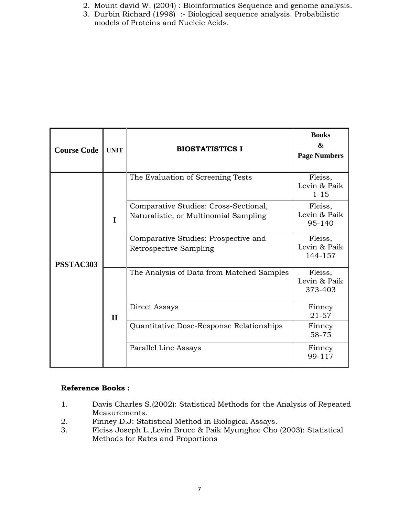- 2. Mount david W. (2004) : Bioinformatics Sequence and genome analysis.
- 3. Durbin Richard (1998) :- Biological sequence analysis. Probabilistic models of Proteins and Nucleic Acids.

| <b>Course Code</b> | <b>UNIT</b>  | <b>BIOSTATISTICS I</b>                                                         | <b>Books</b><br>$\boldsymbol{\mathcal{R}}$<br><b>Page Numbers</b> |
|--------------------|--------------|--------------------------------------------------------------------------------|-------------------------------------------------------------------|
|                    |              | The Evaluation of Screening Tests                                              | Fleiss,<br>Levin & Paik<br>$1 - 15$                               |
|                    | I            | Comparative Studies: Cross-Sectional,<br>Naturalistic, or Multinomial Sampling | Fleiss,<br>Levin & Paik<br>95-140                                 |
| PSSTAC303          |              | Comparative Studies: Prospective and<br>Retrospective Sampling                 | Fleiss,<br>Levin & Paik<br>144-157                                |
|                    |              | The Analysis of Data from Matched Samples                                      | Fleiss,<br>Levin & Paik<br>373-403                                |
|                    | $\mathbf{I}$ | Direct Assays                                                                  | Finney<br>$21 - 57$                                               |
|                    |              | Quantitative Dose-Response Relationships                                       | Finney<br>58-75                                                   |
|                    |              | Parallel Line Assays                                                           | Finney<br>99-117                                                  |

- 1. Davis Charles S.(2002): Statistical Methods for the Analysis of Repeated Measurements.
- 2. Finney D.J: Statistical Method in Biological Assays.
- 3. Fleiss Joseph L.,Levin Bruce & Paik Myunghee Cho (2003): Statistical Methods for Rates and Proportions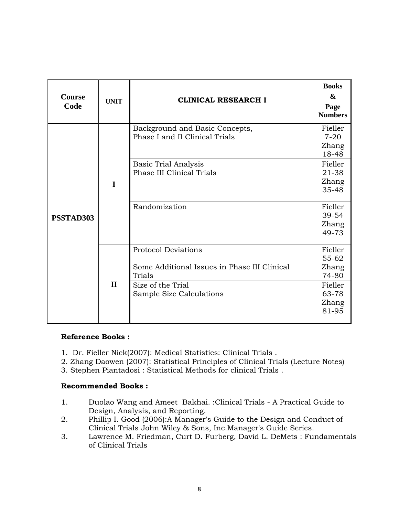| <b>Course</b><br>Code | <b>UNIT</b>  | <b>CLINICAL RESEARCH I</b>                                                                                                                           | <b>Books</b><br>$\boldsymbol{\alpha}$<br>Page<br><b>Numbers</b>                                          |
|-----------------------|--------------|------------------------------------------------------------------------------------------------------------------------------------------------------|----------------------------------------------------------------------------------------------------------|
| PSSTAD303             | I            | Background and Basic Concepts,<br>Phase I and II Clinical Trials<br><b>Basic Trial Analysis</b><br><b>Phase III Clinical Trials</b><br>Randomization | Fieller<br>$7 - 20$<br>Zhang<br>18-48<br>Fieller<br>21-38<br>Zhang<br>35-48<br>Fieller<br>39-54<br>Zhang |
|                       |              | <b>Protocol Deviations</b>                                                                                                                           | 49-73<br>Fieller                                                                                         |
|                       | $\mathbf{H}$ | Some Additional Issues in Phase III Clinical<br>Trials<br>Size of the Trial<br>Sample Size Calculations                                              | 55-62<br>Zhang<br>74-80<br>Fieller<br>63-78<br>Zhang<br>81-95                                            |

- 1. Dr. Fieller Nick(2007): Medical Statistics: Clinical Trials .
- 2. Zhang Daowen (2007): Statistical Principles of Clinical Trials (Lecture Notes)
- 3. Stephen Piantadosi : Statistical Methods for clinical Trials .

## **Recommended Books :**

- 1. Duolao Wang and Ameet Bakhai. :Clinical Trials A Practical Guide to Design, Analysis, and Reporting.
- 2. Phillip I. Good (2006):A Manager's Guide to the Design and Conduct of Clinical Trials John Wiley & Sons, Inc.Manager's Guide Series.
- 3. Lawrence M. Friedman, Curt D. Furberg, David L. DeMets : Fundamentals of Clinical Trials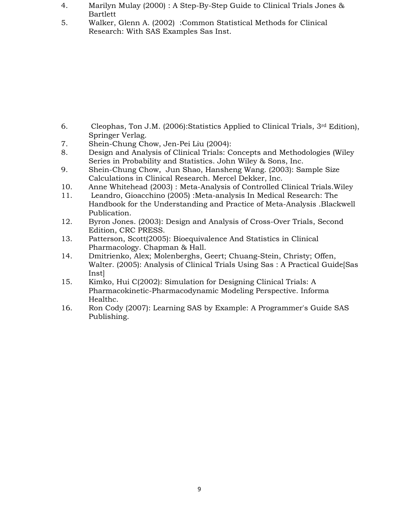- 4. Marilyn Mulay (2000) : A Step-By-Step Guide to Clinical Trials Jones & Bartlett
- 5. Walker, Glenn A. (2002) :Common Statistical Methods for Clinical Research: With SAS Examples Sas Inst.

- 6. Cleophas, Ton J.M. (2006):Statistics Applied to Clinical Trials, 3rd Edition), Springer Verlag.
- 7. Shein-Chung Chow, Jen-Pei Liu (2004):
- 8. Design and Analysis of Clinical Trials: Concepts and Methodologies (Wiley Series in Probability and Statistics. John Wiley & Sons, Inc.
- 9. Shein-Chung Chow, Jun Shao, Hansheng Wang. (2003): Sample Size Calculations in Clinical Research. Mercel Dekker, Inc.
- 10. Anne Whitehead (2003) : Meta-Analysis of Controlled Clinical Trials.Wiley
- 11. Leandro, Gioacchino (2005) :Meta-analysis In Medical Research: The Handbook for the Understanding and Practice of Meta-Analysis .Blackwell Publication.
- 12. Byron Jones. (2003): Design and Analysis of Cross-Over Trials, Second Edition, CRC PRESS.
- 13. Patterson, Scott(2005): Bioequivalence And Statistics in Clinical Pharmacology. Chapman & Hall.
- 14. Dmitrienko, Alex; Molenberghs, Geert; Chuang-Stein, Christy; Offen, Walter. (2005): Analysis of Clinical Trials Using Sas : A Practical Guide[Sas Inst]
- 15. Kimko, Hui C(2002): Simulation for Designing Clinical Trials: A Pharmacokinetic-Pharmacodynamic Modeling Perspective. Informa Healthc.
- 16. Ron Cody (2007): Learning SAS by Example: A Programmer's Guide SAS Publishing.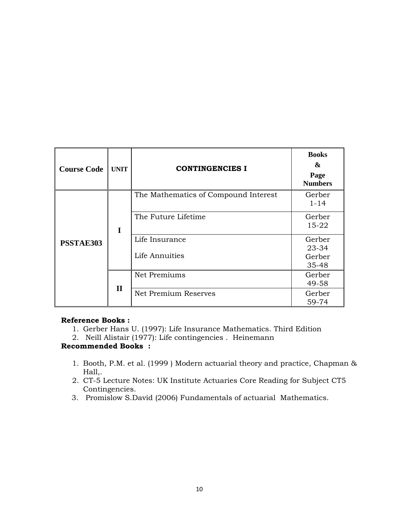| <b>Course Code</b> | <b>UNIT</b>      | <b>CONTINGENCIES I</b>               | <b>Books</b><br>&<br>Page<br><b>Numbers</b> |
|--------------------|------------------|--------------------------------------|---------------------------------------------|
| PSSTAE303          |                  | The Mathematics of Compound Interest | Gerber<br>$1 - 14$                          |
|                    | I<br>$\mathbf H$ | The Future Lifetime                  | Gerber<br>$15 - 22$                         |
|                    |                  | Life Insurance<br>Life Annuities     | Gerber<br>23-34<br>Gerber<br>35-48          |
|                    |                  | Net Premiums                         | Gerber<br>49-58                             |
|                    |                  | Net Premium Reserves                 | Gerber<br>59-74                             |

- 1. Gerber Hans U. (1997): Life Insurance Mathematics. Third Edition
- 2. Neill Alistair (1977): Life contingencies . Heinemann

## **Recommended Books :**

- 1. Booth, P.M. et al. (1999 ) Modern actuarial theory and practice, Chapman & Hall,.
- 2. CT-5 Lecture Notes: UK Institute Actuaries Core Reading for Subject CT5 Contingencies.
- 3. Promislow S.David (2006) Fundamentals of actuarial Mathematics.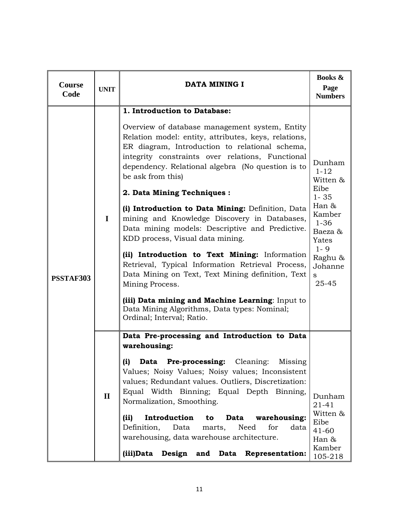| Course<br>Code | <b>UNIT</b>  | DATA MINING I                                                                                                                                                                                                                                                                                                                                                                                                                                                                                                                                                                                                                                                                                                                                                                                                                                                    | <b>Books &amp;</b><br>Page<br><b>Numbers</b>                                                                                                                       |
|----------------|--------------|------------------------------------------------------------------------------------------------------------------------------------------------------------------------------------------------------------------------------------------------------------------------------------------------------------------------------------------------------------------------------------------------------------------------------------------------------------------------------------------------------------------------------------------------------------------------------------------------------------------------------------------------------------------------------------------------------------------------------------------------------------------------------------------------------------------------------------------------------------------|--------------------------------------------------------------------------------------------------------------------------------------------------------------------|
| PSSTAF303      | $\mathbf I$  | 1. Introduction to Database:<br>Overview of database management system, Entity<br>Relation model: entity, attributes, keys, relations,<br>ER diagram, Introduction to relational schema,<br>integrity constraints over relations, Functional<br>dependency. Relational algebra (No question is to<br>be ask from this)<br>2. Data Mining Techniques :<br>(i) Introduction to Data Mining: Definition, Data<br>mining and Knowledge Discovery in Databases,<br>Data mining models: Descriptive and Predictive.<br>KDD process, Visual data mining.<br>(ii) Introduction to Text Mining: Information<br>Retrieval, Typical Information Retrieval Process,<br>Data Mining on Text, Text Mining definition, Text<br>Mining Process.<br>(iii) Data mining and Machine Learning: Input to<br>Data Mining Algorithms, Data types: Nominal;<br>Ordinal; Interval; Ratio. | Dunham<br>$1 - 12$<br>Witten &<br>Eibe<br>$1 - 35$<br>Han $\&$<br>Kamber<br>$1 - 36$<br>Baeza &<br>Yates<br>$1 - 9$<br>Raghu &<br>Johanne<br><sub>S</sub><br>25-45 |
|                | $\mathbf{I}$ | Data Pre-processing and Introduction to Data<br>warehousing:<br>(i) Data Pre-processing: Cleaning: Missing<br>Values; Noisy Values; Noisy values; Inconsistent<br>values; Redundant values. Outliers, Discretization:<br>Equal Width Binning; Equal Depth Binning,<br>Normalization, Smoothing.<br>(ii)<br>Introduction<br>Data<br>warehousing:<br>to<br>Definition,<br>marts,<br>Need<br>for<br>data<br>Data<br>warehousing, data warehouse architecture.<br>(iii)Data<br>Design and Data Representation:                                                                                                                                                                                                                                                                                                                                                       | Dunham<br>$21 - 41$<br>Witten &<br>Eibe<br>$41 - 60$<br>Han &<br>Kamber<br>105-218                                                                                 |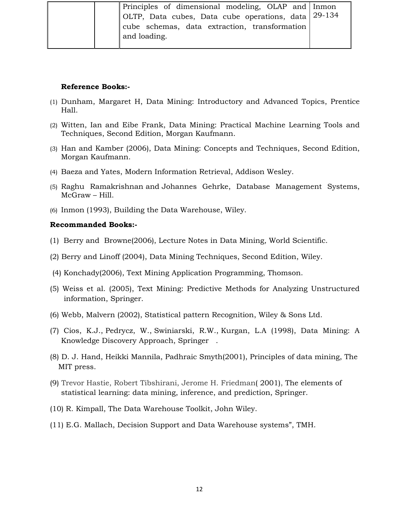|  | Principles of dimensional modeling, OLAP and Inmon  |  |
|--|-----------------------------------------------------|--|
|  | OLTP, Data cubes, Data cube operations, data 29-134 |  |
|  | cube schemas, data extraction, transformation       |  |
|  | and loading.                                        |  |
|  |                                                     |  |

- (1) Dunham, Margaret H, Data Mining: Introductory and Advanced Topics, Prentice Hall.
- (2) Witten, Ian and Eibe Frank, Data Mining: Practical Machine Learning Tools and Techniques, Second Edition, Morgan Kaufmann.
- (3) Han and Kamber (2006), Data Mining: Concepts and Techniques, Second Edition, Morgan Kaufmann.
- (4) Baeza and Yates, Modern Information Retrieval, Addison Wesley.
- (5) Raghu Ramakrishnan and Johannes Gehrke, Database Management Systems, McGraw – Hill.
- (6) Inmon (1993), Building the Data Warehouse, Wiley.

#### **Recommanded Books:-**

- (1) Berry and Browne(2006), Lecture Notes in Data Mining, World Scientific.
- (2) Berry and Linoff (2004), Data Mining Techniques, Second Edition, Wiley.
- (4) Konchady(2006), Text Mining Application Programming, Thomson.
- (5) Weiss et al. (2005), Text Mining: Predictive Methods for Analyzing Unstructured information, Springer.
- (6) Webb, Malvern (2002), Statistical pattern Recognition, Wiley & Sons Ltd.
- (7) Cios, K.J., Pedrycz, W., Swiniarski, R.W., Kurgan, L.A (1998), Data Mining: A Knowledge Discovery Approach, Springer .
- (8) D. J. Hand, Heikki Mannila, Padhraic Smyth(2001), Principles of data mining, The MIT press.
- (9) Trevor Hastie, Robert Tibshirani, Jerome H. Friedman( 2001), The elements of statistical learning: data mining, inference, and prediction, Springer.
- (10) R. Kimpall, The Data Warehouse Toolkit, John Wiley.
- (11) E.G. Mallach, Decision Support and Data Warehouse systems", TMH.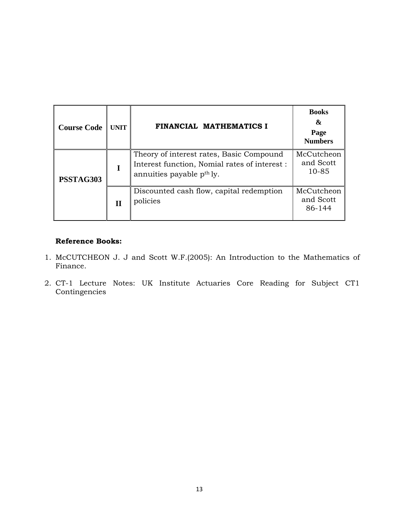| <b>Course Code</b> | <b>UNIT</b> | FINANCIAL MATHEMATICS I                                                                                                            | <b>Books</b><br>&<br>Page<br><b>Numbers</b> |
|--------------------|-------------|------------------------------------------------------------------------------------------------------------------------------------|---------------------------------------------|
| PSSTAG303          |             | Theory of interest rates, Basic Compound<br>Interest function, Nomial rates of interest :<br>annuities payable p <sup>th</sup> ly. | McCutcheon<br>and Scott<br>$10 - 85$        |
|                    | Н           | Discounted cash flow, capital redemption<br>policies                                                                               | McCutcheon<br>and Scott<br>86-144           |

- 1. McCUTCHEON J. J and Scott W.F.(2005): An Introduction to the Mathematics of Finance.
- 2. CT-1 Lecture Notes: UK Institute Actuaries Core Reading for Subject CT1 Contingencies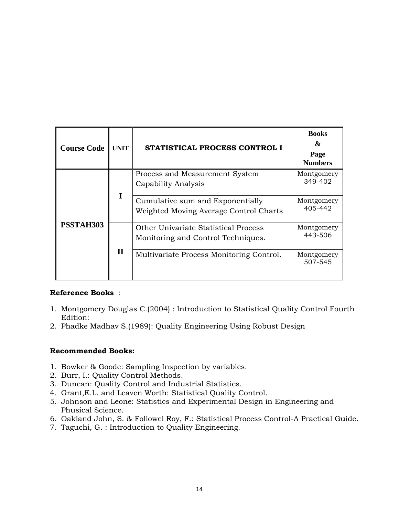| <b>Course Code</b> | <b>UNIT</b>  | <b>STATISTICAL PROCESS CONTROL I</b>                                       | <b>Books</b><br>&<br>Page<br><b>Numbers</b> |
|--------------------|--------------|----------------------------------------------------------------------------|---------------------------------------------|
| PSSTAH303          |              | Process and Measurement System<br>Capability Analysis                      | Montgomery<br>349-402                       |
|                    | I            | Cumulative sum and Exponentially<br>Weighted Moving Average Control Charts | Montgomery<br>405-442                       |
|                    |              | Other Univariate Statistical Process<br>Monitoring and Control Techniques. | Montgomery<br>443-506                       |
|                    | $\mathbf{I}$ | Multivariate Process Monitoring Control.                                   | Montgomery<br>507-545                       |

- 1. Montgomery Douglas C.(2004) : Introduction to Statistical Quality Control Fourth Edition:
- 2. Phadke Madhav S.(1989): Quality Engineering Using Robust Design

## **Recommended Books:**

- 1. Bowker & Goode: Sampling Inspection by variables.
- 2. Burr, I.: Quality Control Methods.
- 3. Duncan: Quality Control and Industrial Statistics.
- 4. Grant,E.L. and Leaven Worth: Statistical Quality Control.
- 5. Johnson and Leone: Statistics and Experimental Design in Engineering and Phusical Science.
- 6. Oakland John, S. & Followel Roy, F.: Statistical Process Control-A Practical Guide.
- 7. Taguchi, G. : Introduction to Quality Engineering.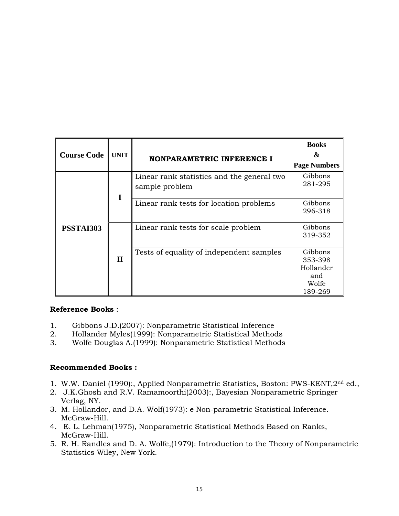| <b>Course Code</b> | <b>UNIT</b>  | <b>NONPARAMETRIC INFERENCE I</b>                             | <b>Books</b><br>&<br><b>Page Numbers</b>                   |
|--------------------|--------------|--------------------------------------------------------------|------------------------------------------------------------|
| PSSTAI303          | I            | Linear rank statistics and the general two<br>sample problem | Gibbons<br>281-295                                         |
|                    |              | Linear rank tests for location problems                      | Gibbons<br>296-318                                         |
|                    |              | Linear rank tests for scale problem                          | Gibbons<br>319-352                                         |
|                    | $\mathbf{I}$ | Tests of equality of independent samples                     | Gibbons<br>353-398<br>Hollander<br>and<br>Wolfe<br>189-269 |

- 1. Gibbons J.D.(2007): Nonparametric Statistical Inference
- 2. Hollander Myles(1999): Nonparametric Statistical Methods
- 3. Wolfe Douglas A.(1999): Nonparametric Statistical Methods

## **Recommended Books :**

- 1. W.W. Daniel (1990):, Applied Nonparametric Statistics, Boston: PWS-KENT,2nd ed.,
- 2. J.K.Ghosh and R.V. Ramamoorthi(2003):, Bayesian Nonparametric Springer Verlag, NY.
- 3. M. Hollandor, and D.A. Wolf(1973): e Non-parametric Statistical Inference. McGraw-Hill.
- 4. E. L. Lehman(1975), Nonparametric Statistical Methods Based on Ranks, McGraw-Hill.
- 5. R. H. Randles and D. A. Wolfe,(1979): Introduction to the Theory of Nonparametric Statistics Wiley, New York.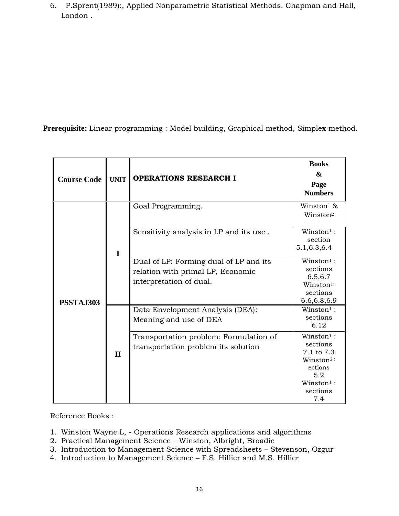6. P.Sprent(1989):, Applied Nonparametric Statistical Methods. Chapman and Hall, London .

 **Prerequisite:** Linear programming : Model building, Graphical method, Simplex method.

| <b>Course Code</b> | <b>UNIT</b>  | <b>OPERATIONS RESEARCH I</b>                                                                           | <b>Books</b><br>&<br>Page<br><b>Numbers</b>                                                                                            |
|--------------------|--------------|--------------------------------------------------------------------------------------------------------|----------------------------------------------------------------------------------------------------------------------------------------|
|                    |              | Goal Programming.                                                                                      | Winston <sup>1</sup> &<br>Winston <sup>2</sup>                                                                                         |
| PSSTAJ303          | $\mathbf I$  | Sensitivity analysis in LP and its use.                                                                | $W$ inston <sup>1</sup> :<br>section<br>5.1, 6.3, 6.4                                                                                  |
|                    |              | Dual of LP: Forming dual of LP and its<br>relation with primal LP, Economic<br>interpretation of dual. | $W$ inston <sup>1</sup> :<br>sections<br>6.5,6.7<br>Winston <sup>1:</sup><br>sections<br>6.6, 6.8, 6.9                                 |
|                    |              | Data Envelopment Analysis (DEA):<br>Meaning and use of DEA                                             | $W$ inston <sup>1</sup> :<br>sections<br>6.12                                                                                          |
|                    | $\mathbf{I}$ | Transportation problem: Formulation of<br>transportation problem its solution                          | $W$ inston <sup>1</sup> :<br>sections<br>7.1 to 7.3<br>$Winston^2$ :<br>ections<br>5.2<br>$W$ inston <sup>1</sup> :<br>sections<br>7.4 |

Reference Books :

- 1. Winston Wayne L, Operations Research applications and algorithms
- 2. Practical Management Science Winston, Albright, Broadie
- 3. Introduction to Management Science with Spreadsheets Stevenson, Ozgur
- 4. Introduction to Management Science F.S. Hillier and M.S. Hillier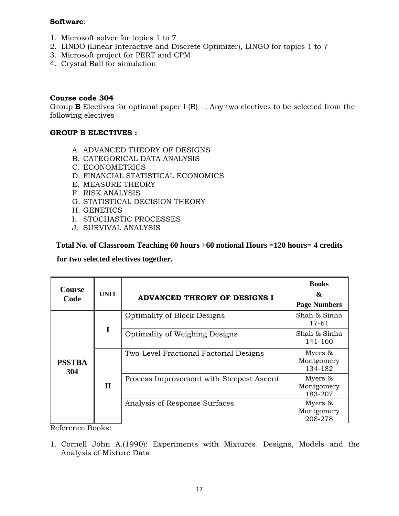## **Software**:

- 1. Microsoft solver for topics 1 to 7
- 2. LINDO (Linear Interactive and Discrete Optimizer), LINGO for topics 1 to 7
- 3. Microsoft project for PERT and CPM
- 4. Crystal Ball for simulation

## **Course code 304**

Group **B** Electives for optional paper I (B) : Any two electives to be selected from the following electives

## **GROUP B ELECTIVES :**

- A. ADVANCED THEORY OF DESIGNS
- B. CATEGORICAL DATA ANALYSIS
- C. ECONOMETRICS
- D. FINANCIAL STATISTICAL ECONOMICS
- E. MEASURE THEORY
- F. RISK ANALYSIS
- G. STATISTICAL DECISION THEORY
- H. GENETICS
- I. STOCHASTIC PROCESSES
- J. SURVIVAL ANALYSIS

## **Total No. of Classroom Teaching 60 hours +60 notional Hours =120 hours= 4 credits**

 **for two selected electives together.** 

| <b>Course</b><br>Code | <b>UNIT</b> | <b>ADVANCED THEORY OF DESIGNS I</b>      | <b>Books</b><br>&<br><b>Page Numbers</b> |
|-----------------------|-------------|------------------------------------------|------------------------------------------|
|                       |             | <b>Optimality of Block Designs</b>       | Shah & Sinha<br>17-61                    |
| <b>PSSTBA</b><br>304  | I           | <b>Optimality of Weighing Designs</b>    | Shah & Sinha<br>141-160                  |
|                       |             | Two-Level Fractional Factorial Designs   | Myers $\&$<br>Montgomery<br>134-182      |
|                       | $\mathbf H$ | Process Improvement with Steepest Ascent | Myers &<br>Montgomery<br>183-207         |
|                       |             | Analysis of Response Surfaces            | Myers &<br>Montgomery<br>208-278         |

Reference Books:

1. Cornell John A.(1990): Experiments with Mixtures. Designs, Models and the Analysis of Mixture Data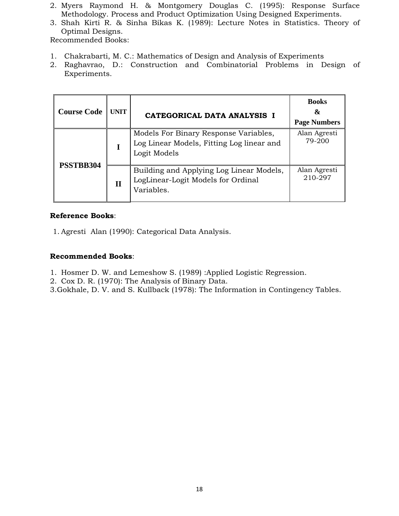- 2. Myers Raymond H. & Montgomery Douglas C. (1995): Response Surface Methodology. Process and Product Optimization Using Designed Experiments.
- 3. Shah Kirti R. & Sinha Bikas K. (1989): Lecture Notes in Statistics. Theory of Optimal Designs.

Recommended Books:

- 1. Chakrabarti, M. C.: Mathematics of Design and Analysis of Experiments
- 2. Raghavrao, D.: Construction and Combinatorial Problems in Design of Experiments.

| <b>Course Code</b> | <b>UNIT</b>  | CATEGORICAL DATA ANALYSIS I                                                                        | <b>Books</b><br>&<br><b>Page Numbers</b> |
|--------------------|--------------|----------------------------------------------------------------------------------------------------|------------------------------------------|
| PSSTBB304          |              | Models For Binary Response Variables,<br>Log Linear Models, Fitting Log linear and<br>Logit Models | Alan Agresti<br>79-200                   |
|                    | $\mathbf{I}$ | Building and Applying Log Linear Models,<br>LogLinear-Logit Models for Ordinal<br>Variables.       | Alan Agresti<br>210-297                  |

## **Reference Books**:

1. Agresti Alan (1990): Categorical Data Analysis.

## **Recommended Books**:

- 1. Hosmer D. W. and Lemeshow S. (1989) :Applied Logistic Regression.
- 2. Cox D. R. (1970): The Analysis of Binary Data.

3.Gokhale, D. V. and S. Kullback (1978): The Information in Contingency Tables.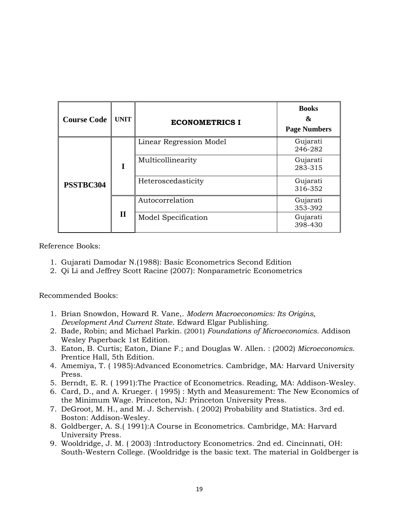| <b>Course Code</b> | <b>UNIT</b>  | <b>ECONOMETRICS I</b>   | <b>Books</b><br>&<br><b>Page Numbers</b> |  |
|--------------------|--------------|-------------------------|------------------------------------------|--|
| PSSTBC304          |              | Linear Regression Model | Gujarati<br>246-282                      |  |
|                    | I            | Multicollinearity       | Gujarati<br>283-315                      |  |
|                    |              | Heteroscedasticity      | Gujarati<br>316-352                      |  |
|                    |              | Autocorrelation         | Gujarati<br>353-392                      |  |
|                    | $\mathbf{I}$ | Model Specification     | Gujarati<br>398-430                      |  |

- 1. Gujarati Damodar N.(1988): Basic Econometrics Second Edition
- 2. Qi Li and Jeffrey Scott Racine (2007): Nonparametric Econometrics

Recommended Books:

- 1. Brian Snowdon, Howard R. Vane,. *Modern Macroeconomics: Its Origins, Development And Current State*. Edward Elgar Publishing.
- 2. Bade, Robin; and Michael Parkin. (2001) *Foundations of Microeconomics.* Addison Wesley Paperback 1st Edition.
- 3. Eaton, B. Curtis; Eaton, Diane F.; and Douglas W. Allen. : (2002) *Microeconomics*. Prentice Hall, 5th Edition.
- 4. Amemiya, T. ( 1985):Advanced Econometrics. Cambridge, MA: Harvard University Press.
- 5. Berndt, E. R. ( 1991):The Practice of Econometrics. Reading, MA: Addison-Wesley.
- 6. Card, D., and A. Krueger. ( 1995) : Myth and Measurement: The New Economics of the Minimum Wage. Princeton, NJ: Princeton University Press.
- 7. DeGroot, M. H., and M. J. Schervish. ( 2002) Probability and Statistics. 3rd ed. Boston: Addison-Wesley.
- 8. Goldberger, A. S.( 1991):A Course in Econometrics. Cambridge, MA: Harvard University Press.
- 9. Wooldridge, J. M. ( 2003) :Introductory Econometrics. 2nd ed. Cincinnati, OH: South-Western College. (Wooldridge is the basic text. The material in Goldberger is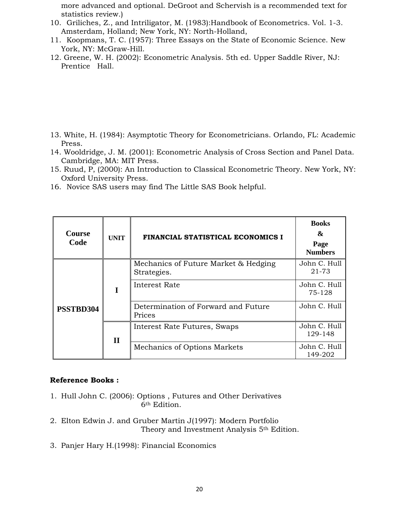more advanced and optional. DeGroot and Schervish is a recommended text for statistics review.)

- 10. Griliches, Z., and Intriligator, M. (1983):Handbook of Econometrics. Vol. 1-3. Amsterdam, Holland; New York, NY: North-Holland,
- 11. Koopmans, T. C. (1957): Three Essays on the State of Economic Science. New York, NY: McGraw-Hill.
- 12. Greene, W. H. (2002): Econometric Analysis. 5th ed. Upper Saddle River, NJ: Prentice Hall.

- 13. White, H. (1984): Asymptotic Theory for Econometricians. Orlando, FL: Academic Press.
- 14. Wooldridge, J. M. (2001): Econometric Analysis of Cross Section and Panel Data. Cambridge, MA: MIT Press.
- 15. Ruud, P, (2000): An Introduction to Classical Econometric Theory. New York, NY: Oxford University Press.
- 16. Novice SAS users may find The Little SAS Book helpful.

| Course<br>Code | <b>UNIT</b>  | FINANCIAL STATISTICAL ECONOMICS I                   | <b>Books</b><br>&<br>Page<br><b>Numbers</b> |
|----------------|--------------|-----------------------------------------------------|---------------------------------------------|
| PSSTBD304      |              | Mechanics of Future Market & Hedging<br>Strategies. | John C. Hull<br>21-73                       |
|                | I            | Interest Rate                                       | John C. Hull<br>75-128                      |
|                |              | Determination of Forward and Future<br>Prices       | John C. Hull                                |
|                | $\mathbf{I}$ | Interest Rate Futures, Swaps                        | John C. Hull<br>129-148                     |
|                |              | Mechanics of Options Markets                        | John C. Hull<br>149-202                     |

#### **Reference Books :**

- 1. Hull John C. (2006): Options , Futures and Other Derivatives 6th Edition.
- 2. Elton Edwin J. and Gruber Martin J(1997): Modern Portfolio Theory and Investment Analysis 5<sup>th</sup> Edition.
- 3. Panjer Hary H.(1998): Financial Economics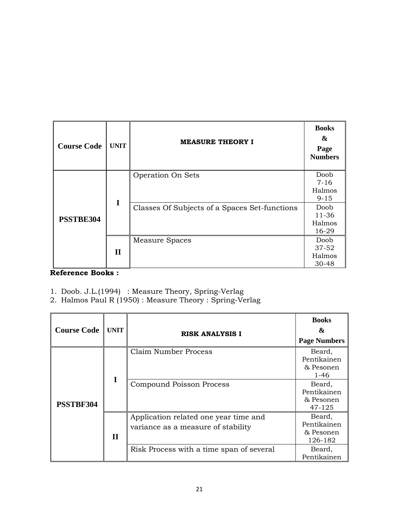| <b>Course Code</b> | <b>UNIT</b>  | <b>MEASURE THEORY I</b>                       | <b>Books</b><br>&<br>Page<br><b>Numbers</b> |
|--------------------|--------------|-----------------------------------------------|---------------------------------------------|
| PSSTBE304          | I            | Operation On Sets                             | Doob<br>$7 - 16$<br>Halmos<br>$9 - 15$      |
|                    |              | Classes Of Subjects of a Spaces Set-functions | Doob<br>11-36<br>Halmos<br>16-29            |
|                    | $\mathbf{I}$ | Measure Spaces                                | Doob<br>37-52<br>Halmos<br>30-48            |

- 1. Doob. J.L.(1994) : Measure Theory, Spring-Verlag
- 2. Halmos Paul R (1950) : Measure Theory : Spring-Verlag

| <b>Course Code</b> | <b>UNIT</b>  | <b>RISK ANALYSIS I</b>                                                      | <b>Books</b><br>&<br><b>Page Numbers</b>       |
|--------------------|--------------|-----------------------------------------------------------------------------|------------------------------------------------|
| PSSTBF304          |              | Claim Number Process                                                        | Beard,<br>Pentikainen<br>& Pesonen<br>$1 - 46$ |
|                    | Ι            | Compound Poisson Process                                                    | Beard,<br>Pentikainen<br>& Pesonen<br>47-125   |
|                    | $\mathbf{I}$ | Application related one year time and<br>variance as a measure of stability | Beard,<br>Pentikainen<br>& Pesonen<br>126-182  |
|                    |              | Risk Process with a time span of several                                    | Beard,<br>Pentikainen                          |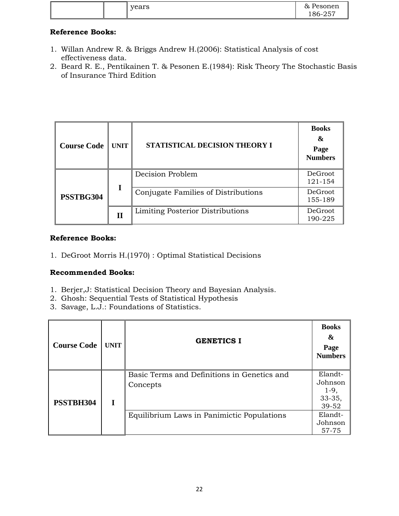| years | Pesonen<br>&<br>186-257 |
|-------|-------------------------|
|-------|-------------------------|

- 1. Willan Andrew R. & Briggs Andrew H.(2006): Statistical Analysis of cost effectiveness data.
- 2. Beard R. E., Pentikainen T. & Pesonen E.(1984): Risk Theory The Stochastic Basis of Insurance Third Edition

| <b>Course Code</b> | <b>UNIT</b> | STATISTICAL DECISION THEORY I           | <b>Books</b><br>&<br>Page<br><b>Numbers</b> |
|--------------------|-------------|-----------------------------------------|---------------------------------------------|
| PSSTBG304          |             | Decision Problem                        | <b>DeGroot</b><br>121-154                   |
|                    | I           | Conjugate Families of Distributions     | DeGroot<br>155-189                          |
|                    | П           | <b>Limiting Posterior Distributions</b> | DeGroot<br>190-225                          |

# **Reference Books:**

1. DeGroot Morris H.(1970) : Optimal Statistical Decisions

## **Recommended Books:**

- 1. Berjer,J: Statistical Decision Theory and Bayesian Analysis.
- 2. Ghosh: Sequential Tests of Statistical Hypothesis
- 3. Savage, L.J.: Foundations of Statistics.

| <b>Course Code</b> | <b>UNIT</b> | <b>GENETICS I</b>                                       | <b>Books</b><br>&<br>Page<br><b>Numbers</b>         |
|--------------------|-------------|---------------------------------------------------------|-----------------------------------------------------|
| PSSTBH304          |             | Basic Terms and Definitions in Genetics and<br>Concepts | Elandt-<br>Johnson<br>$1-9,$<br>$33 - 35,$<br>39-52 |
|                    |             | Equilibrium Laws in Panimictic Populations              | Elandt-<br>Johnson<br>57-75                         |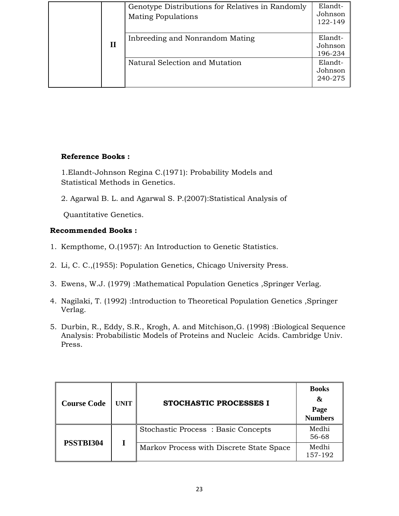|             | Genotype Distributions for Relatives in Randomly<br><b>Mating Populations</b> | Elandt-<br>Johnson<br>122-149 |
|-------------|-------------------------------------------------------------------------------|-------------------------------|
| $\mathbf H$ | Inbreeding and Nonrandom Mating                                               | Elandt-<br>Johnson<br>196-234 |
|             | Natural Selection and Mutation                                                | Elandt-<br>Johnson<br>240-275 |

1.Elandt-Johnson Regina C.(1971): Probability Models and Statistical Methods in Genetics.

2. Agarwal B. L. and Agarwal S. P.(2007):Statistical Analysis of

Quantitative Genetics.

# **Recommended Books :**

- 1. Kempthome, O.(1957): An Introduction to Genetic Statistics.
- 2. Li, C. C.,(1955): Population Genetics, Chicago University Press.
- 3. Ewens, W.J. (1979) :Mathematical Population Genetics ,Springer Verlag.
- 4. Nagilaki, T. (1992) :Introduction to Theoretical Population Genetics ,Springer Verlag.
- 5. Durbin, R., Eddy, S.R., Krogh, A. and Mitchison,G. (1998) :Biological Sequence Analysis: Probabilistic Models of Proteins and Nucleic Acids. Cambridge Univ. Press.

| <b>Course Code</b> | <b>UNIT</b> | STOCHASTIC PROCESSES I                    | <b>Books</b><br>&<br>Page<br><b>Numbers</b> |
|--------------------|-------------|-------------------------------------------|---------------------------------------------|
|                    |             | <b>Stochastic Process: Basic Concepts</b> | Medhi<br>56-68                              |
| PSSTBI304          |             | Markov Process with Discrete State Space  | Medhi<br>157-192                            |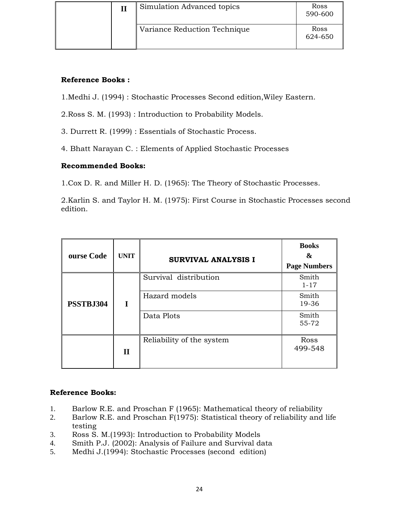|  | Simulation Advanced topics   | Ross<br>590-600 |
|--|------------------------------|-----------------|
|  | Variance Reduction Technique | Ross<br>624-650 |

1.Medhi J. (1994) : Stochastic Processes Second edition,Wiley Eastern.

2.Ross S. M. (1993) : Introduction to Probability Models.

3. Durrett R. (1999) : Essentials of Stochastic Process.

4. Bhatt Narayan C. : Elements of Applied Stochastic Processes

# **Recommended Books:**

1.Cox D. R. and Miller H. D. (1965): The Theory of Stochastic Processes.

2.Karlin S. and Taylor H. M. (1975): First Course in Stochastic Processes second edition.

| ourse Code | <b>UNIT</b>  | <b>SURVIVAL ANALYSIS I</b> | <b>Books</b><br>&<br><b>Page Numbers</b> |
|------------|--------------|----------------------------|------------------------------------------|
| PSSTBJ304  |              | Survival distribution      | Smith<br>$1 - 17$                        |
|            | I            | Hazard models              | Smith<br>19-36                           |
|            |              | Data Plots                 | Smith<br>55-72                           |
|            | $\mathbf{I}$ | Reliability of the system  | Ross<br>499-548                          |

## **Reference Books:**

- 1. Barlow R.E. and Proschan F (1965): Mathematical theory of reliability
- 2. Barlow R.E. and Proschan F(1975): Statistical theory of reliability and life testing
- 3. Ross S. M.(1993): Introduction to Probability Models
- 4. Smith P.J. (2002): Analysis of Failure and Survival data
- 5. Medhi J.(1994): Stochastic Processes (second edition)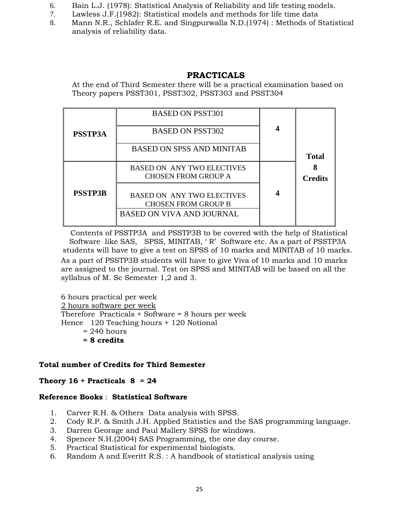- 6. Bain L.J. (1978): Statistical Analysis of Reliability and life testing models.
- 7. Lawless J.F.(1982): Statistical models and methods for life time data
- 8. Mann N.R., Schlafer R.E. and Singpurwalla N.D.(1974) : Methods of Statistical analysis of reliability data.

# **PRACTICALS**

At the end of Third Semester there will be a practical examination based on Theory papers PSST301, PSST302, PSST303 and PSST304

| <b>PSSTP3A</b> | <b>BASED ON PSST301</b><br><b>BASED ON PSST302</b>                                                  |                |
|----------------|-----------------------------------------------------------------------------------------------------|----------------|
|                | <b>BASED ON SPSS AND MINITAB</b>                                                                    | <b>Total</b>   |
|                | <b>BASED ON ANY TWO ELECTIVES</b><br><b>CHOSEN FROM GROUP A</b>                                     | <b>Credits</b> |
| <b>PSSTP3B</b> | <b>BASED ON ANY TWO ELECTIVES</b><br><b>CHOSEN FROM GROUP B</b><br><b>BASED ON VIVA AND JOURNAL</b> |                |

Contents of PSSTP3A and PSSTP3B to be covered with the help of Statistical Software like SAS, SPSS, MINITAB, ' R' Software etc. As a part of PSSTP3A students will have to give a test on SPSS of 10 marks and MINITAB of 10 marks. As a part of PSSTP3B students will have to give Viva of 10 marks and 10 marks are assigned to the journal. Test on SPSS and MINITAB will be based on all the syllabus of M. Sc Semester 1,2 and 3.

6 hours practical per week 2 hours software per week Therefore Practicals + Software = 8 hours per week Hence 120 Teaching hours + 120 Notional  $= 240$  hours **= 8 credits** 

## **Total number of Credits for Third Semester**

## **Theory 16 + Practicals 8 = 24**

## **Reference Books** : **Statistical Software**

- 1. Carver R.H. & Others Data analysis with SPSS.
- 2. Cody R.P. & Smith J.H. Applied Statistics and the SAS programming language.
- 3. Darren Georage and Paul Mallery SPSS for windows.
- 4. Spencer N.H.(2004) SAS Programming, the one day course.
- 5. Practical Statistical for experimental biologists.
- 6. Random A and Everitt R.S. : A handbook of statistical analysis using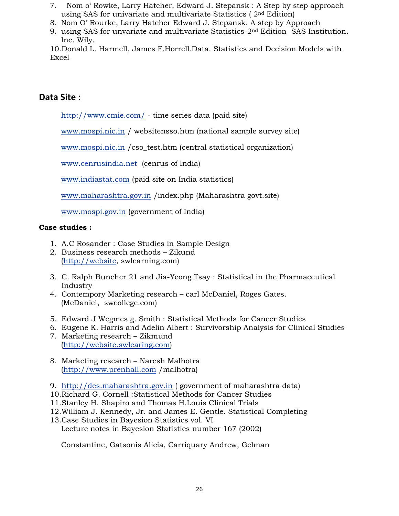- 7. Nom o' Rowke, Larry Hatcher, Edward J. Stepansk : A Step by step approach using SAS for univariate and multivariate Statistics ( 2nd Edition)
- 8. Nom O' Rourke, Larry Hatcher Edward J. Stepansk. A step by Approach
- 9. using SAS for unvariate and multivariate Statistics-2nd Edition SAS Institution. Inc. Wily.

10.Donald L. Harmell, James F.Horrell.Data. Statistics and Decision Models with Excel

# **Data Site :**

http://www.cmie.com/ - time series data (paid site)

www.mospi.nic.in / websitensso.htm (national sample survey site)

www.mospi.nic.in /cso\_test.htm (central statistical organization)

www.cenrusindia.net (cenrus of India)

www.indiastat.com (paid site on India statistics)

www.maharashtra.gov.in /index.php (Maharashtra govt.site)

www.mospi.gov.in (government of India)

## **Case studies :**

- 1. A.C Rosander : Case Studies in Sample Design
- 2. Business research methods Zikund (http://website, swlearning.com)
- 3. C. Ralph Buncher 21 and Jia-Yeong Tsay : Statistical in the Pharmaceutical Industry
- 4. Contempory Marketing research carl McDaniel, Roges Gates. (McDaniel, swcollege.com)
- 5. Edward J Wegmes g. Smith : Statistical Methods for Cancer Studies
- 6. Eugene K. Harris and Adelin Albert : Survivorship Analysis for Clinical Studies
- 7. Marketing research Zikmund (http://website.swlearing.com)
- 8. Marketing research Naresh Malhotra (http://www.prenhall.com /malhotra)
- 9. http://des.maharashtra.gov.in ( government of maharashtra data)
- 10.Richard G. Cornell :Statistical Methods for Cancer Studies
- 11.Stanley H. Shapiro and Thomas H.Louis Clinical Trials
- 12.William J. Kennedy, Jr. and James E. Gentle. Statistical Completing
- 13.Case Studies in Bayesion Statistics vol. VI Lecture notes in Bayesion Statistics number 167 (2002)

Constantine, Gatsonis Alicia, Carriquary Andrew, Gelman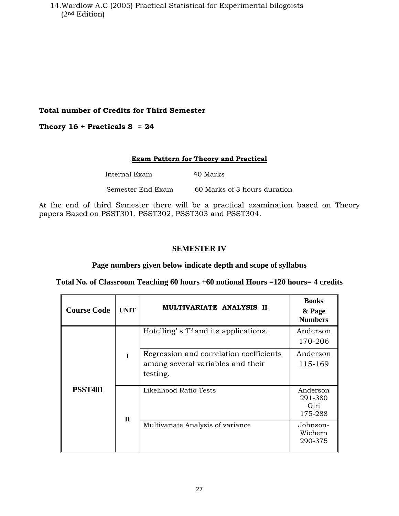14.Wardlow A.C (2005) Practical Statistical for Experimental bilogoists (2nd Edition)

## **Total number of Credits for Third Semester**

## **Theory 16 + Practicals 8 = 24**

#### **Exam Pattern for Theory and Practical**

| Internal Exam     | 40 Marks                     |
|-------------------|------------------------------|
| Semester End Exam | 60 Marks of 3 hours duration |

At the end of third Semester there will be a practical examination based on Theory papers Based on PSST301, PSST302, PSST303 and PSST304.

#### **SEMESTER IV**

## **Page numbers given below indicate depth and scope of syllabus**

**Total No. of Classroom Teaching 60 hours +60 notional Hours =120 hours= 4 credits** 

| <b>Course Code</b> | <b>UNIT</b>  | MULTIVARIATE ANALYSIS II                                                                 | <b>Books</b><br>& Page<br><b>Numbers</b> |
|--------------------|--------------|------------------------------------------------------------------------------------------|------------------------------------------|
|                    |              | Hotelling's $T^2$ and its applications.                                                  | Anderson<br>170-206                      |
|                    | L            | Regression and correlation coefficients<br>among several variables and their<br>testing. | Anderson<br>115-169                      |
| <b>PSST401</b>     | $\mathbf{H}$ | Likelihood Ratio Tests                                                                   | Anderson<br>291-380<br>Giri<br>175-288   |
|                    |              | Multivariate Analysis of variance                                                        | Johnson-<br>Wichern<br>290-375           |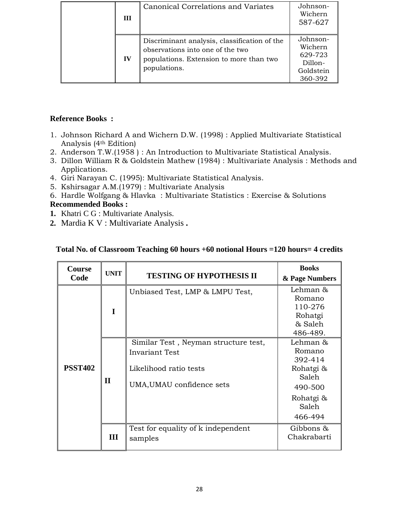| Ш         | Canonical Correlations and Variates                                                                                                         | Johnson-<br>Wichern<br>587-627                                    |
|-----------|---------------------------------------------------------------------------------------------------------------------------------------------|-------------------------------------------------------------------|
| $\bf{IV}$ | Discriminant analysis, classification of the<br>observations into one of the two<br>populations. Extension to more than two<br>populations. | Johnson-<br>Wichern<br>629-723<br>Dillon-<br>Goldstein<br>360-392 |

- 1. Johnson Richard A and Wichern D.W. (1998) : Applied Multivariate Statistical Analysis (4th Edition)
- 2. Anderson T.W.(1958 ) : An Introduction to Multivariate Statistical Analysis.
- 3. Dillon William R & Goldstein Mathew (1984) : Multivariate Analysis : Methods and Applications.
- 4. Giri Narayan C. (1995): Multivariate Statistical Analysis.
- 5. Kshirsagar A.M.(1979) : Multivariate Analysis
- 6. Hardle Wolfgang & Hlavka : Multivariate Statistics : Exercise & Solutions

# **Recommended Books :**

- **1.** Khatri C G : Multivariate Analysis.
- **2.** Mardia K V : Multivariate Analysis **.**

| <b>Course</b><br>Code | <b>UNIT</b>  | <b>TESTING OF HYPOTHESIS II</b>                                                                                      | <b>Books</b><br>& Page Numbers                                                                  |
|-----------------------|--------------|----------------------------------------------------------------------------------------------------------------------|-------------------------------------------------------------------------------------------------|
|                       | $\mathbf I$  | Unbiased Test, LMP & LMPU Test,                                                                                      | Lehman &<br>Romano<br>110-276<br>Rohatgi<br>& Saleh<br>486-489.                                 |
| <b>PSST402</b>        | $\mathbf{I}$ | Similar Test, Neyman structure test,<br><b>Invariant Test</b><br>Likelihood ratio tests<br>UMA, UMAU confidence sets | Lehman &<br>Romano<br>392-414<br>Rohatgi &<br>Saleh<br>490-500<br>Rohatgi &<br>Saleh<br>466-494 |
|                       | Ш            | Test for equality of k independent<br>samples                                                                        | Gibbons &<br>Chakrabarti                                                                        |

# **Total No. of Classroom Teaching 60 hours +60 notional Hours =120 hours= 4 credits**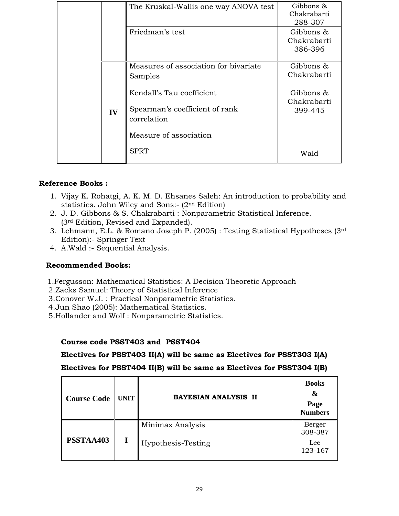|    | The Kruskal-Wallis one way ANOVA test                                      | Gibbons $\alpha$<br>Chakrabarti<br>288-307 |
|----|----------------------------------------------------------------------------|--------------------------------------------|
|    | Friedman's test                                                            | Gibbons &<br>Chakrabarti<br>386-396        |
|    | Measures of association for bivariate<br>Samples                           | Gibbons &<br>Chakrabarti                   |
| IV | Kendall's Tau coefficient<br>Spearman's coefficient of rank<br>correlation | Gibbons &<br>Chakrabarti<br>399-445        |
|    | Measure of association<br><b>SPRT</b>                                      | Wald                                       |

- 1. Vijay K. Rohatgi, A. K. M. D. Ehsanes Saleh: An introduction to probability and statistics. John Wiley and Sons:- (2nd Edition)
- 2. J. D. Gibbons & S. Chakrabarti : Nonparametric Statistical Inference. (3rd Edition, Revised and Expanded).
- 3. Lehmann, E.L. & Romano Joseph P. (2005) : Testing Statistical Hypotheses (3rd Edition):- Springer Text
- 4. A.Wald :- Sequential Analysis.

## **Recommended Books:**

- 1.Fergusson: Mathematical Statistics: A Decision Theoretic Approach
- 2.Zacks Samuel: Theory of Statistical Inference
- 3.Conover W.J. : Practical Nonparametric Statistics.
- 4.Jun Shao (2005): Mathematical Statistics.
- 5.Hollander and Wolf : Nonparametric Statistics.

## **Course code PSST403 and PSST404**

**Electives for PSST403 II(A) will be same as Electives for PSST303 I(A)** 

**Electives for PSST404 II(B) will be same as Electives for PSST304 I(B)** 

| <b>Course Code   UNIT</b> | BAYESIAN ANALYSIS II | <b>Books</b><br>&<br>Page<br><b>Numbers</b> |
|---------------------------|----------------------|---------------------------------------------|
| PSSTAA403                 | Minimax Analysis     | Berger<br>308-387                           |
|                           | Hypothesis-Testing   | Lee<br>123-167                              |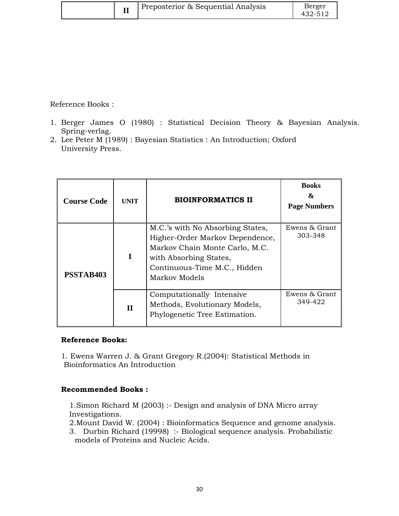|  | Preposterior & Sequential Analysis | Berger<br>432-512 |
|--|------------------------------------|-------------------|
|--|------------------------------------|-------------------|

- 1. Berger James O (1980) : Statistical Decision Theory & Bayesian Analysis. Spring-verlag.
- 2. Lee Peter M (1989) : Bayesian Statistics : An Introduction; Oxford University Press.

| <b>Course Code</b> | <b>UNIT</b> | <b>BIOINFORMATICS II</b>                                                                                                                                                         | <b>Books</b><br>&<br><b>Page Numbers</b> |
|--------------------|-------------|----------------------------------------------------------------------------------------------------------------------------------------------------------------------------------|------------------------------------------|
| <b>PSSTAB403</b>   | I           | M.C.'s with No Absorbing States,<br>Higher-Order Markov Dependence,<br>Markov Chain Monte Carlo, M.C.<br>with Absorbing States,<br>Continuous-Time M.C., Hidden<br>Markov Models | Ewens & Grant<br>303-348                 |
|                    | $\mathbf H$ | Computationally Intensive<br>Methods, Evolutionary Models,<br>Phylogenetic Tree Estimation.                                                                                      | Ewens & Grant<br>349-422                 |

## **Reference Books:**

1. Ewens Warren J. & Grant Gregory R.(2004): Statistical Methods in Bioinformatics An Introduction

## **Recommended Books :**

1.Simon Richard M (2003) :- Design and analysis of DNA Micro array Investigations.

2.Mount David W. (2004) : Bioinformatics Sequence and genome analysis.

3. Durbin Richard (19998) :- Biological sequence analysis. Probabilistic models of Proteins and Nucleic Acids.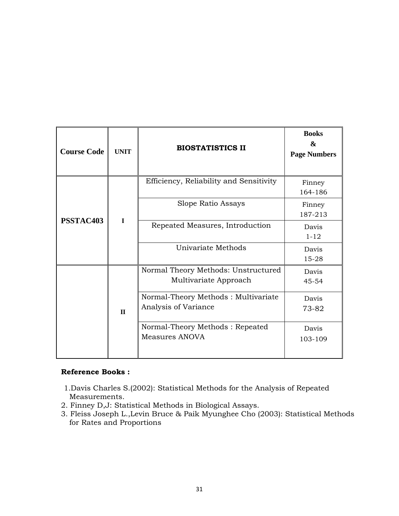| <b>Course Code</b> | <b>UNIT</b>  | <b>BIOSTATISTICS II</b>                                      | <b>Books</b><br>&<br><b>Page Numbers</b> |
|--------------------|--------------|--------------------------------------------------------------|------------------------------------------|
|                    |              | Efficiency, Reliability and Sensitivity                      | Finney<br>164-186                        |
|                    |              | Slope Ratio Assays                                           | Finney<br>187-213                        |
| PSSTAC403          | $\mathbf I$  | Repeated Measures, Introduction                              | Davis<br>$1 - 12$                        |
|                    |              | Univariate Methods                                           | Davis<br>15-28                           |
|                    | $\mathbf{H}$ | Normal Theory Methods: Unstructured<br>Multivariate Approach | Davis<br>$45 - 54$                       |
|                    |              | Normal-Theory Methods: Multivariate<br>Analysis of Variance  | Davis<br>73-82                           |
|                    |              | Normal-Theory Methods: Repeated<br>Measures ANOVA            | Davis<br>103-109                         |

- 1.Davis Charles S.(2002): Statistical Methods for the Analysis of Repeated Measurements.
- 2. Finney D,J: Statistical Methods in Biological Assays.
- 3. Fleiss Joseph L.,Levin Bruce & Paik Myunghee Cho (2003): Statistical Methods for Rates and Proportions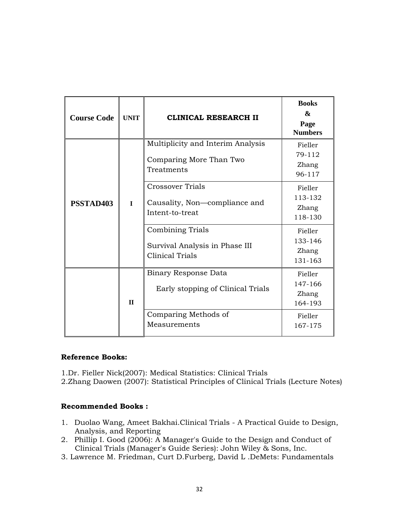| <b>Course Code</b> | <b>UNIT</b>  | <b>CLINICAL RESEARCH II</b>                                                         | <b>Books</b><br>&<br>Page<br><b>Numbers</b> |
|--------------------|--------------|-------------------------------------------------------------------------------------|---------------------------------------------|
| PSSTAD403          | $\mathbf I$  | Multiplicity and Interim Analysis<br>Comparing More Than Two<br>Treatments          | Fieller<br>79-112<br>Zhang<br>96-117        |
|                    |              | Crossover Trials<br>Causality, Non-compliance and<br>Intent-to-treat                | Fieller<br>113-132<br>Zhang<br>118-130      |
|                    |              | <b>Combining Trials</b><br>Survival Analysis in Phase III<br><b>Clinical Trials</b> | Fieller<br>133-146<br>Zhang<br>131-163      |
|                    | $\mathbf{I}$ | <b>Binary Response Data</b><br>Early stopping of Clinical Trials                    | Fieller<br>147-166<br>Zhang<br>164-193      |
|                    |              | Comparing Methods of<br>Measurements                                                | Fieller<br>167-175                          |

1.Dr. Fieller Nick(2007): Medical Statistics: Clinical Trials

2.Zhang Daowen (2007): Statistical Principles of Clinical Trials (Lecture Notes)

## **Recommended Books :**

- 1. Duolao Wang, Ameet Bakhai.Clinical Trials A Practical Guide to Design, Analysis, and Reporting
- 2. Phillip I. Good (2006): A Manager's Guide to the Design and Conduct of Clinical Trials (Manager's Guide Series): John Wiley & Sons, Inc.
- 3. Lawrence M. Friedman, Curt D.Furberg, David L .DeMets: Fundamentals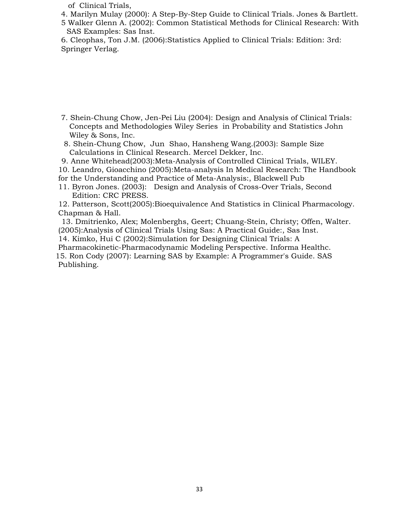of Clinical Trials,

- 4. Marilyn Mulay (2000): A Step-By-Step Guide to Clinical Trials. Jones & Bartlett.
- 5 Walker Glenn A. (2002): Common Statistical Methods for Clinical Research: With SAS Examples: Sas Inst.
- 6. Cleophas, Ton J.M. (2006):Statistics Applied to Clinical Trials: Edition: 3rd: Springer Verlag.

- 7. Shein-Chung Chow, Jen-Pei Liu (2004): Design and Analysis of Clinical Trials: Concepts and Methodologies Wiley Series in Probability and Statistics John Wiley & Sons, Inc.
- 8. Shein-Chung Chow, Jun Shao, Hansheng Wang.(2003): Sample Size Calculations in Clinical Research. Mercel Dekker, Inc.
- 9. Anne Whitehead(2003):Meta-Analysis of Controlled Clinical Trials, WILEY.
- 10. Leandro, Gioacchino (2005):Meta-analysis In Medical Research: The Handbook
- for the Understanding and Practice of Meta-Analysis:, Blackwell Pub
- 11. Byron Jones. (2003): Design and Analysis of Cross-Over Trials, Second Edition: CRC PRESS.

12. Patterson, Scott(2005):Bioequivalence And Statistics in Clinical Pharmacology. Chapman & Hall.

- 13. Dmitrienko, Alex; Molenberghs, Geert; Chuang-Stein, Christy; Offen, Walter. (2005):Analysis of Clinical Trials Using Sas: A Practical Guide:, Sas Inst.
- 14. Kimko, Hui C (2002):Simulation for Designing Clinical Trials: A
- Pharmacokinetic-Pharmacodynamic Modeling Perspective. Informa Healthc. 15. Ron Cody (2007): Learning SAS by Example: A Programmer's Guide. SAS Publishing.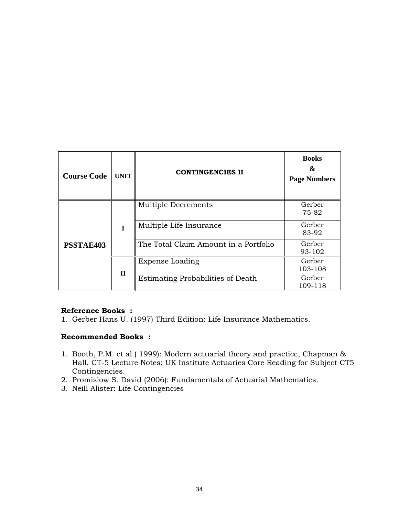| <b>Course Code</b> | <b>UNIT</b>  | <b>CONTINGENCIES II</b>               | <b>Books</b><br>&<br><b>Page Numbers</b> |
|--------------------|--------------|---------------------------------------|------------------------------------------|
| <b>PSSTAE403</b>   | T            | Multiple Decrements                   | Gerber<br>75-82                          |
|                    |              | Multiple Life Insurance               | Gerber<br>83-92                          |
|                    |              | The Total Claim Amount in a Portfolio | Gerber<br>93-102                         |
|                    | $\mathbf{H}$ | Expense Loading                       | Gerber<br>103-108                        |
|                    |              | Estimating Probabilities of Death     | Gerber<br>109-118                        |

1. Gerber Hans U. (1997) Third Edition: Life Insurance Mathematics.

#### **Recommended Books :**

- 1. Booth, P.M. et al.( 1999): Modern actuarial theory and practice, Chapman & Hall, CT-5 Lecture Notes: UK Institute Actuaries Core Reading for Subject CT5 Contingencies.
- 2. Promislow S. David (2006): Fundamentals of Actuarial Mathematics.
- 3. Neill Alister: Life Contingencies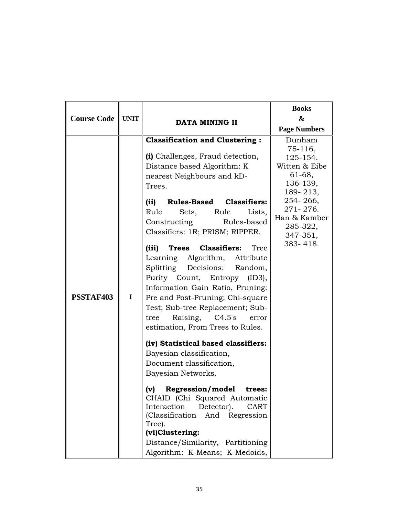| <b>Course Code</b> | <b>UNIT</b> | <b>DATA MINING II</b>                                                                                                                                                                                                                                                                                                                                                                                                                                                                                                                                                                                                                                                                                                                                                                                                                                                                                                                  | <b>Books</b><br>&<br><b>Page Numbers</b>                                                                                                                     |
|--------------------|-------------|----------------------------------------------------------------------------------------------------------------------------------------------------------------------------------------------------------------------------------------------------------------------------------------------------------------------------------------------------------------------------------------------------------------------------------------------------------------------------------------------------------------------------------------------------------------------------------------------------------------------------------------------------------------------------------------------------------------------------------------------------------------------------------------------------------------------------------------------------------------------------------------------------------------------------------------|--------------------------------------------------------------------------------------------------------------------------------------------------------------|
| PSSTAF403          | $\mathbf I$ | <b>Classification and Clustering:</b><br>(i) Challenges, Fraud detection,<br>Distance based Algorithm: K<br>nearest Neighbours and kD-<br>Trees.<br><b>Rules-Based Classifiers:</b><br>(ii)<br>Rule<br>Rule<br>Lists,<br>Sets,<br>Constructing<br>Rules-based<br>Classifiers: 1R; PRISM; RIPPER.<br>Trees Classifiers:<br>(iii)<br>Tree<br>Learning Algorithm, Attribute<br>Splitting<br>Decisions:<br>Random,<br>Purity Count, Entropy<br>(ID3),<br>Information Gain Ratio, Pruning:<br>Pre and Post-Pruning; Chi-square<br>Test; Sub-tree Replacement; Sub-<br>Raising,<br>C4.5's<br>tree<br>error<br>estimation, From Trees to Rules.<br>(iv) Statistical based classifiers:<br>Bayesian classification,<br>Document classification,<br>Bayesian Networks.<br>Regression/model<br>(v)<br>trees:<br>CHAID (Chi Squared Automatic<br>Interaction<br>Detector).<br>CART<br>(Classification And Regression<br>Tree).<br>(vi)Clustering: | Dunham<br>75-116,<br>125-154.<br>Witten & Eibe<br>61-68,<br>136-139,<br>189-213,<br>254-266,<br>271-276.<br>Han & Kamber<br>285-322,<br>347-351,<br>383-418. |
|                    |             | Distance/Similarity, Partitioning<br>Algorithm: K-Means; K-Medoids,                                                                                                                                                                                                                                                                                                                                                                                                                                                                                                                                                                                                                                                                                                                                                                                                                                                                    |                                                                                                                                                              |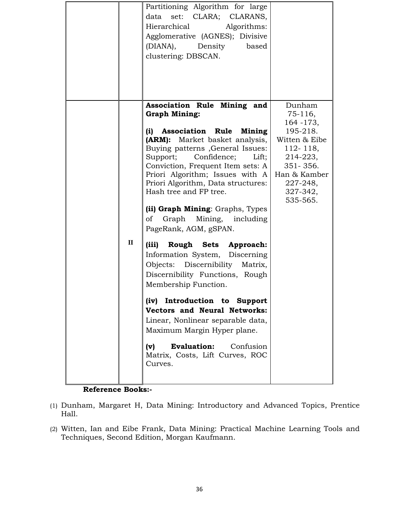|              | Partitioning Algorithm for large<br>set: CLARA; CLARANS,<br>data<br>Hierarchical<br>Algorithms:<br>Agglomerative (AGNES); Divisive<br>(DIANA),<br>Density<br>based<br>clustering: DBSCAN.                                                                                                                                                                                                                                                                                                                                                                                                                                                                                                                                                                                                                                                           |                                                                                                                                                              |
|--------------|-----------------------------------------------------------------------------------------------------------------------------------------------------------------------------------------------------------------------------------------------------------------------------------------------------------------------------------------------------------------------------------------------------------------------------------------------------------------------------------------------------------------------------------------------------------------------------------------------------------------------------------------------------------------------------------------------------------------------------------------------------------------------------------------------------------------------------------------------------|--------------------------------------------------------------------------------------------------------------------------------------------------------------|
| $\mathbf{I}$ | Association Rule Mining and<br><b>Graph Mining:</b><br><b>Association Rule</b><br>(i)<br>Mining<br>(ARM): Market basket analysis,<br>Buying patterns, General Issues:<br>Confidence; Lift;<br>Support;<br>Conviction, Frequent Item sets: A<br>Priori Algorithm; Issues with A<br>Priori Algorithm, Data structures:<br>Hash tree and FP tree.<br>(ii) Graph Mining: Graphs, Types<br>Graph Mining, including<br>of<br>PageRank, AGM, gSPAN.<br>Rough Sets Approach:<br>(iii)<br>Information System, Discerning<br>Objects: Discernibility Matrix,<br>Discernibility Functions, Rough<br>Membership Function.<br>Introduction to Support<br>(iv)<br><b>Vectors and Neural Networks:</b><br>Linear, Nonlinear separable data,<br>Maximum Margin Hyper plane.<br><b>Evaluation:</b><br>Confusion<br>(v)<br>Matrix, Costs, Lift Curves, ROC<br>Curves. | Dunham<br>$75-116$ ,<br>164 - 173,<br>195-218.<br>Witten & Eibe<br>$112 - 118$ ,<br>214-223,<br>351-356.<br>Han & Kamber<br>227-248,<br>327-342,<br>535-565. |

- (1) Dunham, Margaret H, Data Mining: Introductory and Advanced Topics, Prentice Hall.
- (2) Witten, Ian and Eibe Frank, Data Mining: Practical Machine Learning Tools and Techniques, Second Edition, Morgan Kaufmann.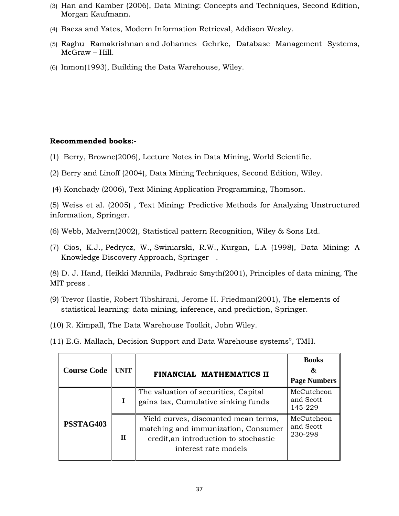- (3) Han and Kamber (2006), Data Mining: Concepts and Techniques, Second Edition, Morgan Kaufmann.
- (4) Baeza and Yates, Modern Information Retrieval, Addison Wesley.
- (5) Raghu Ramakrishnan and Johannes Gehrke, Database Management Systems, McGraw – Hill.
- (6) Inmon(1993), Building the Data Warehouse, Wiley.

## **Recommended books:-**

- (1) Berry, Browne(2006), Lecture Notes in Data Mining, World Scientific.
- (2) Berry and Linoff (2004), Data Mining Techniques, Second Edition, Wiley.
- (4) Konchady (2006), Text Mining Application Programming, Thomson.

(5) Weiss et al. (2005) , Text Mining: Predictive Methods for Analyzing Unstructured information, Springer.

- (6) Webb, Malvern(2002), Statistical pattern Recognition, Wiley & Sons Ltd.
- (7) Cios, K.J., Pedrycz, W., Swiniarski, R.W., Kurgan, L.A (1998), Data Mining: A Knowledge Discovery Approach, Springer .

(8) D. J. Hand, Heikki Mannila, Padhraic Smyth(2001), Principles of data mining, The MIT press .

- (9) Trevor Hastie, Robert Tibshirani, Jerome H. Friedman(2001), The elements of statistical learning: data mining, inference, and prediction, Springer.
- (10) R. Kimpall, The Data Warehouse Toolkit, John Wiley.
- (11) E.G. Mallach, Decision Support and Data Warehouse systems", TMH.

| <b>Course Code</b> | UNIT        | <b>FINANCIAL MATHEMATICS II</b>                                                                                                              | <b>Books</b><br>&<br><b>Page Numbers</b> |
|--------------------|-------------|----------------------------------------------------------------------------------------------------------------------------------------------|------------------------------------------|
|                    | T           | The valuation of securities, Capital<br>gains tax, Cumulative sinking funds                                                                  | McCutcheon<br>and Scott<br>145-229       |
| PSSTAG403          | $\mathbf H$ | Yield curves, discounted mean terms,<br>matching and immunization, Consumer<br>credit, an introduction to stochastic<br>interest rate models | McCutcheon<br>and Scott<br>230-298       |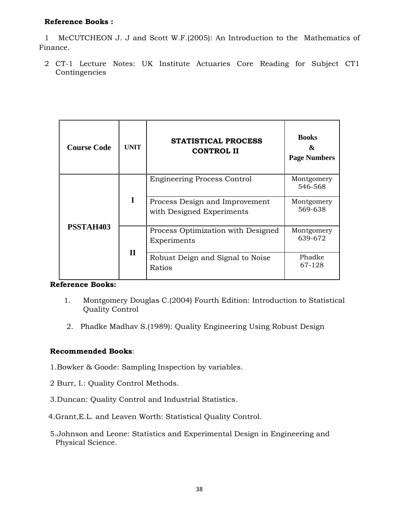1 McCUTCHEON J. J and Scott W.F.(2005): An Introduction to the Mathematics of Finance.

2 CT-1 Lecture Notes: UK Institute Actuaries Core Reading for Subject CT1 Contingencies

| <b>Course Code</b> | <b>UNIT</b>  | <b>STATISTICAL PROCESS</b><br><b>CONTROL II</b>             | <b>Books</b><br>&<br><b>Page Numbers</b> |
|--------------------|--------------|-------------------------------------------------------------|------------------------------------------|
|                    |              | <b>Engineering Process Control</b>                          | Montgomery<br>546-568                    |
|                    | I            | Process Design and Improvement<br>with Designed Experiments | Montgomery<br>569-638                    |
| PSSTAH403          |              | Process Optimization with Designed<br>Experiments           | Montgomery<br>639-672                    |
|                    | $\mathbf{I}$ | Robust Deign and Signal to Noise                            | Phadke                                   |
|                    |              | Ratios                                                      | 67-128                                   |

# **Reference Books:**

- 1. Montgomery Douglas C.(2004) Fourth Edition: Introduction to Statistical Quality Control
- 2. Phadke Madhav S.(1989): Quality Engineering Using Robust Design

## **Recommended Books**:

- 1.Bowker & Goode: Sampling Inspection by variables.
- 2 Burr, I.: Quality Control Methods.
- 3.Duncan: Quality Control and Industrial Statistics.
- 4.Grant,E.L. and Leaven Worth: Statistical Quality Control.
- 5.Johnson and Leone: Statistics and Experimental Design in Engineering and Physical Science.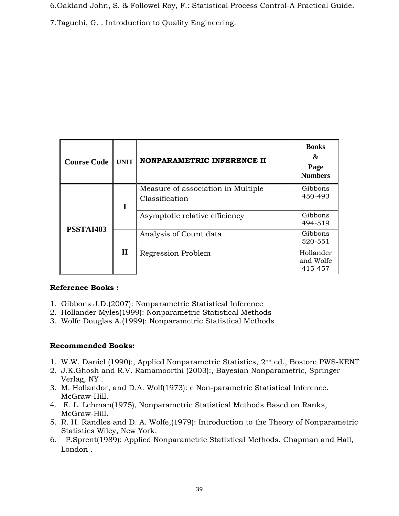6.Oakland John, S. & Followel Roy, F.: Statistical Process Control-A Practical Guide.

7.Taguchi, G. : Introduction to Quality Engineering.

| <b>Course Code</b> | <b>UNIT</b>  | NONPARAMETRIC INFERENCE II                           | <b>Books</b><br>&<br>Page<br><b>Numbers</b> |
|--------------------|--------------|------------------------------------------------------|---------------------------------------------|
| PSSTAI403          | I            | Measure of association in Multiple<br>Classification | Gibbons<br>450-493                          |
|                    |              | Asymptotic relative efficiency                       | Gibbons<br>494-519                          |
|                    | $\mathbf{I}$ | Analysis of Count data                               | Gibbons<br>520-551                          |
|                    |              | Regression Problem                                   | Hollander<br>and Wolfe<br>415-457           |

## **Reference Books :**

- 1. Gibbons J.D.(2007): Nonparametric Statistical Inference
- 2. Hollander Myles(1999): Nonparametric Statistical Methods
- 3. Wolfe Douglas A.(1999): Nonparametric Statistical Methods

# **Recommended Books:**

- 1. W.W. Daniel (1990):, Applied Nonparametric Statistics, 2nd ed., Boston: PWS-KENT
- 2. J.K.Ghosh and R.V. Ramamoorthi (2003):, Bayesian Nonparametric, Springer Verlag, NY .
- 3. M. Hollandor, and D.A. Wolf(1973): e Non-parametric Statistical Inference. McGraw-Hill.
- 4. E. L. Lehman(1975), Nonparametric Statistical Methods Based on Ranks, McGraw-Hill.
- 5. R. H. Randles and D. A. Wolfe,(1979): Introduction to the Theory of Nonparametric Statistics Wiley, New York.
- 6. P.Sprent(1989): Applied Nonparametric Statistical Methods. Chapman and Hall, London .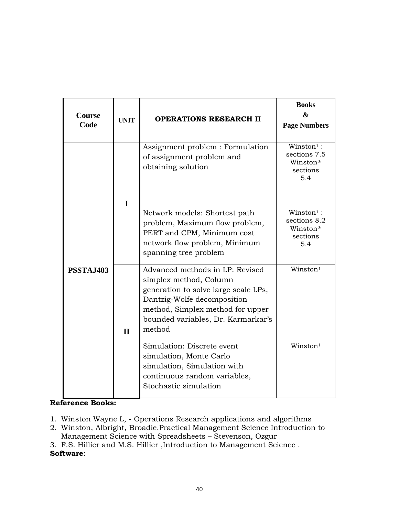| <b>Course</b><br>Code | <b>UNIT</b>  | <b>OPERATIONS RESEARCH II</b>                                                                                                                                                                                        | <b>Books</b><br>&<br><b>Page Numbers</b>                                              |
|-----------------------|--------------|----------------------------------------------------------------------------------------------------------------------------------------------------------------------------------------------------------------------|---------------------------------------------------------------------------------------|
|                       | $\mathbf I$  | Assignment problem : Formulation<br>of assignment problem and<br>obtaining solution                                                                                                                                  | $W$ inston <sup>1</sup> :<br>sections 7.5<br>Winston <sup>2:</sup><br>sections<br>5.4 |
|                       |              | Network models: Shortest path<br>problem, Maximum flow problem,<br>PERT and CPM, Minimum cost<br>network flow problem, Minimum<br>spanning tree problem                                                              | $W$ inston <sup>1</sup> :<br>sections 8.2<br>Winston <sup>2:</sup><br>sections<br>5.4 |
| PSSTAJ403             | $\mathbf{I}$ | Advanced methods in LP: Revised<br>simplex method, Column<br>generation to solve large scale LPs,<br>Dantzig-Wolfe decomposition<br>method, Simplex method for upper<br>bounded variables, Dr. Karmarkar's<br>method | Winston <sup>1</sup>                                                                  |
|                       |              | Simulation: Discrete event<br>simulation, Monte Carlo<br>simulation, Simulation with<br>continuous random variables,<br>Stochastic simulation                                                                        | Winston <sup>1</sup>                                                                  |

- 1. Winston Wayne L, Operations Research applications and algorithms
- 2. Winston, Albright, Broadie.Practical Management Science Introduction to Management Science with Spreadsheets – Stevenson, Ozgur
- 3. F.S. Hillier and M.S. Hillier ,Introduction to Management Science . **Software**: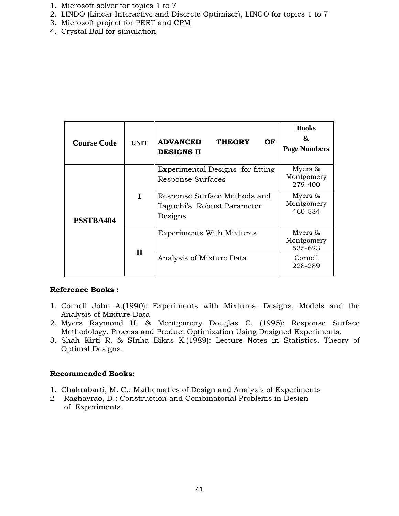- 1. Microsoft solver for topics 1 to 7
- 2. LINDO (Linear Interactive and Discrete Optimizer), LINGO for topics 1 to 7
- 3. Microsoft project for PERT and CPM
- 4. Crystal Ball for simulation

| <b>Course Code</b> | <b>UNIT</b>  | <b>ADVANCED</b><br><b>THEORY</b><br>OF.<br><b>DESIGNS II</b>          | <b>Books</b><br>&<br><b>Page Numbers</b> |
|--------------------|--------------|-----------------------------------------------------------------------|------------------------------------------|
| PSSTBA404          |              | Experimental Designs for fitting<br>Response Surfaces                 | Myers $\&$<br>Montgomery<br>279-400      |
|                    | T            | Response Surface Methods and<br>Taguchi's Robust Parameter<br>Designs | Myers &<br>Montgomery<br>460-534         |
|                    | $\mathbf{I}$ | <b>Experiments With Mixtures</b>                                      | Myers $\&$<br>Montgomery<br>535-623      |
|                    |              | Analysis of Mixture Data                                              | Cornell<br>228-289                       |

- 1. Cornell John A.(1990): Experiments with Mixtures. Designs, Models and the Analysis of Mixture Data
- 2. Myers Raymond H. & Montgomery Douglas C. (1995): Response Surface Methodology. Process and Product Optimization Using Designed Experiments.
- 3. Shah Kirti R. & SInha Bikas K.(1989): Lecture Notes in Statistics. Theory of Optimal Designs.

## **Recommended Books:**

- 1. Chakrabarti, M. C.: Mathematics of Design and Analysis of Experiments
- 2 Raghavrao, D.: Construction and Combinatorial Problems in Design of Experiments.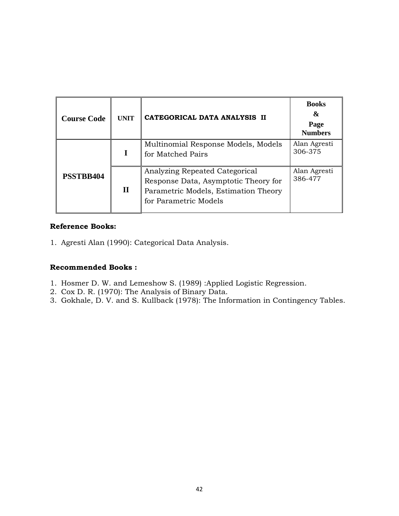| <b>Course Code</b> | <b>UNIT</b> | CATEGORICAL DATA ANALYSIS II                                                                                                            | <b>Books</b><br>&<br>Page<br><b>Numbers</b> |
|--------------------|-------------|-----------------------------------------------------------------------------------------------------------------------------------------|---------------------------------------------|
|                    |             | Multinomial Response Models, Models<br>for Matched Pairs                                                                                | Alan Agresti<br>306-375                     |
| <b>PSSTBB404</b>   | $\bf{H}$    | Analyzing Repeated Categorical<br>Response Data, Asymptotic Theory for<br>Parametric Models, Estimation Theory<br>for Parametric Models | Alan Agresti<br>386-477                     |

1. Agresti Alan (1990): Categorical Data Analysis.

## **Recommended Books :**

- 1. Hosmer D. W. and Lemeshow S. (1989) :Applied Logistic Regression.
- 2. Cox D. R. (1970): The Analysis of Binary Data.
- 3. Gokhale, D. V. and S. Kullback (1978): The Information in Contingency Tables.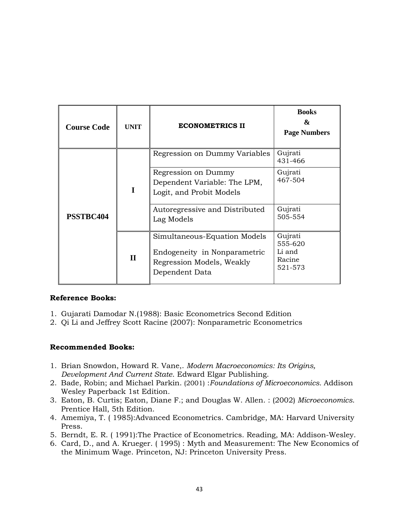| <b>Course Code</b> | <b>UNIT</b>  | <b>ECONOMETRICS II</b>                                                                                      | <b>Books</b><br>&<br><b>Page Numbers</b>          |
|--------------------|--------------|-------------------------------------------------------------------------------------------------------------|---------------------------------------------------|
|                    |              | Regression on Dummy Variables                                                                               | Gujrati<br>431-466                                |
| PSSTBC404          | I            | Regression on Dummy<br>Dependent Variable: The LPM,<br>Logit, and Probit Models                             | Gujrati<br>467-504                                |
|                    |              | Autoregressive and Distributed<br>Lag Models                                                                | Gujrati<br>505-554                                |
|                    | $\mathbf{I}$ | Simultaneous-Equation Models<br>Endogeneity in Nonparametric<br>Regression Models, Weakly<br>Dependent Data | Gujrati<br>555-620<br>Li and<br>Racine<br>521-573 |

- 1. Gujarati Damodar N.(1988): Basic Econometrics Second Edition
- 2. Qi Li and Jeffrey Scott Racine (2007): Nonparametric Econometrics

## **Recommended Books:**

- 1. Brian Snowdon, Howard R. Vane,. *Modern Macroeconomics: Its Origins, Development And Current State*. Edward Elgar Publishing.
- 2. Bade, Robin; and Michael Parkin. (2001) :*Foundations of Microeconomics.* Addison Wesley Paperback 1st Edition.
- 3. Eaton, B. Curtis; Eaton, Diane F.; and Douglas W. Allen. : (2002) *Microeconomics*. Prentice Hall, 5th Edition.
- 4. Amemiya, T. ( 1985):Advanced Econometrics. Cambridge, MA: Harvard University Press.
- 5. Berndt, E. R. ( 1991):The Practice of Econometrics. Reading, MA: Addison-Wesley.
- 6. Card, D., and A. Krueger. ( 1995) : Myth and Measurement: The New Economics of the Minimum Wage. Princeton, NJ: Princeton University Press.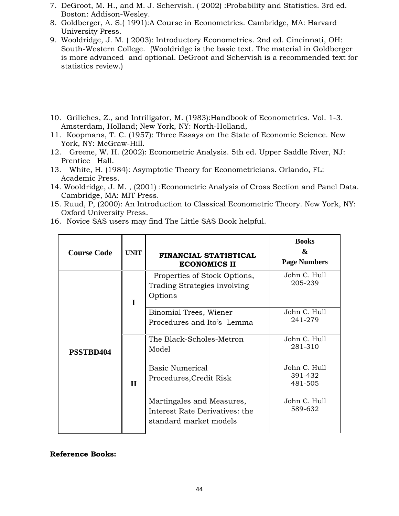- 7. DeGroot, M. H., and M. J. Schervish. ( 2002) :Probability and Statistics. 3rd ed. Boston: Addison-Wesley.
- 8. Goldberger, A. S.( 1991):A Course in Econometrics. Cambridge, MA: Harvard University Press.
- 9. Wooldridge, J. M. ( 2003): Introductory Econometrics. 2nd ed. Cincinnati, OH: South-Western College. (Wooldridge is the basic text. The material in Goldberger is more advanced and optional. DeGroot and Schervish is a recommended text for statistics review.)
- 10. Griliches, Z., and Intriligator, M. (1983):Handbook of Econometrics. Vol. 1-3. Amsterdam, Holland; New York, NY: North-Holland,
- 11. Koopmans, T. C. (1957): Three Essays on the State of Economic Science. New York, NY: McGraw-Hill.
- 12. Greene, W. H. (2002): Econometric Analysis. 5th ed. Upper Saddle River, NJ: Prentice Hall.
- 13. White, H. (1984): Asymptotic Theory for Econometricians. Orlando, FL: Academic Press.
- 14. Wooldridge, J. M. , (2001) :Econometric Analysis of Cross Section and Panel Data. Cambridge, MA: MIT Press.
- 15. Ruud, P, (2000): An Introduction to Classical Econometric Theory. New York, NY: Oxford University Press.
- 16. Novice SAS users may find The Little SAS Book helpful.

| <b>Course Code</b><br><b>UNIT</b> |              | FINANCIAL STATISTICAL<br><b>ECONOMICS II</b>                                          | <b>Books</b><br>&<br><b>Page Numbers</b> |  |
|-----------------------------------|--------------|---------------------------------------------------------------------------------------|------------------------------------------|--|
|                                   | I            | Properties of Stock Options,<br>Trading Strategies involving<br>Options               | John C. Hull<br>205-239                  |  |
|                                   |              | Binomial Trees, Wiener<br>Procedures and Ito's Lemma                                  | John C. Hull<br>241-279                  |  |
| PSSTBD404                         | $\mathbf{I}$ | The Black-Scholes-Metron<br>Model                                                     | John C. Hull<br>281-310                  |  |
|                                   |              | <b>Basic Numerical</b><br>Procedures, Credit Risk                                     | John C. Hull<br>391-432<br>481-505       |  |
|                                   |              | Martingales and Measures,<br>Interest Rate Derivatives: the<br>standard market models | John C. Hull<br>589-632                  |  |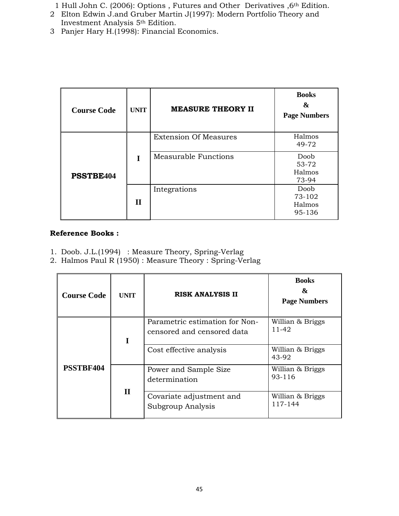1 Hull John C. (2006): Options , Futures and Other Derivatives ,6th Edition.

- 2 Elton Edwin J.and Gruber Martin J(1997): Modern Portfolio Theory and Investment Analysis 5th Edition.
- 3 Panjer Hary H.(1998): Financial Economics.

| <b>Course Code</b> | <b>UNIT</b>  | <b>MEASURE THEORY II</b>     | <b>Books</b><br>&<br><b>Page Numbers</b> |
|--------------------|--------------|------------------------------|------------------------------------------|
|                    |              | <b>Extension Of Measures</b> | Halmos<br>49-72                          |
| PSSTBE404          | T            | Measurable Functions         | Doob<br>53-72<br>Halmos<br>73-94         |
|                    | $\mathbf{I}$ | Integrations                 | Doob<br>73-102<br>Halmos<br>95-136       |

# **Reference Books :**

- 1. Doob. J.L.(1994) : Measure Theory, Spring-Verlag
- 2. Halmos Paul R (1950) : Measure Theory : Spring-Verlag

| <b>Course Code</b> | <b>UNIT</b>  | <b>RISK ANALYSIS II</b>                                      | <b>Books</b><br>&<br><b>Page Numbers</b> |
|--------------------|--------------|--------------------------------------------------------------|------------------------------------------|
| 1                  |              | Parametric estimation for Non-<br>censored and censored data | Willian & Briggs<br>11-42                |
| PSSTBF404          |              | Cost effective analysis                                      | Willian & Briggs<br>43-92                |
|                    | $\mathbf{I}$ | Power and Sample Size<br>determination                       | Willian & Briggs<br>93-116               |
|                    |              | Covariate adjustment and<br>Subgroup Analysis                | Willian & Briggs<br>117-144              |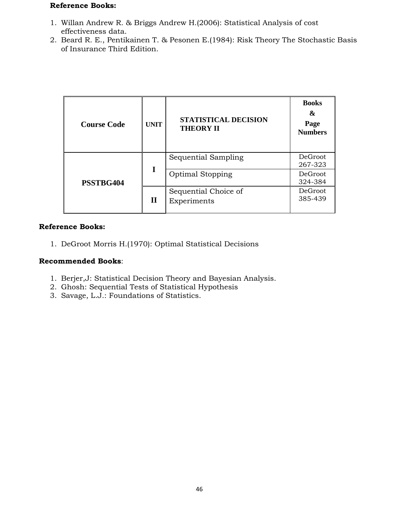- 1. Willan Andrew R. & Briggs Andrew H.(2006): Statistical Analysis of cost effectiveness data.
- 2. Beard R. E., Pentikainen T. & Pesonen E.(1984): Risk Theory The Stochastic Basis of Insurance Third Edition.

| <b>Course Code</b> | <b>UNIT</b> | <b>STATISTICAL DECISION</b><br><b>THEORY II</b> | <b>Books</b><br>&<br>Page<br><b>Numbers</b> |
|--------------------|-------------|-------------------------------------------------|---------------------------------------------|
| PSSTBG404          | I           | Sequential Sampling                             | DeGroot<br>267-323                          |
|                    |             | <b>Optimal Stopping</b>                         | DeGroot<br>324-384                          |
|                    | $\mathbf H$ | Sequential Choice of<br>Experiments             | DeGroot<br>385-439                          |

## **Reference Books:**

1. DeGroot Morris H.(1970): Optimal Statistical Decisions

## **Recommended Books**:

- 1. Berjer,J: Statistical Decision Theory and Bayesian Analysis.
- 2. Ghosh: Sequential Tests of Statistical Hypothesis
- 3. Savage, L.J.: Foundations of Statistics.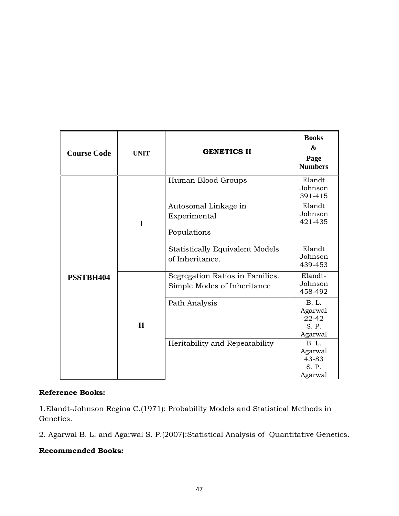| <b>Course Code</b> | <b>UNIT</b>  | <b>GENETICS II</b>                                             | <b>Books</b><br>&<br>Page<br><b>Numbers</b>          |
|--------------------|--------------|----------------------------------------------------------------|------------------------------------------------------|
|                    |              | Human Blood Groups                                             | Elandt<br>Johnson<br>391-415                         |
|                    | I            | Autosomal Linkage in<br>Experimental<br>Populations            | Elandt<br>Johnson<br>421-435                         |
|                    |              | <b>Statistically Equivalent Models</b><br>of Inheritance.      | Elandt<br>Johnson<br>439-453                         |
| PSSTBH404          |              | Segregation Ratios in Families.<br>Simple Modes of Inheritance | Elandt-<br>Johnson<br>458-492                        |
|                    | $\mathbf{I}$ | Path Analysis                                                  | <b>B.</b> L.<br>Agarwal<br>22-42<br>S. P.<br>Agarwal |
|                    |              | Heritability and Repeatability                                 | <b>B.</b> L.<br>Agarwal<br>43-83<br>S. P.<br>Agarwal |

1.Elandt-Johnson Regina C.(1971): Probability Models and Statistical Methods in Genetics.

2. Agarwal B. L. and Agarwal S. P.(2007):Statistical Analysis of Quantitative Genetics.

## **Recommended Books:**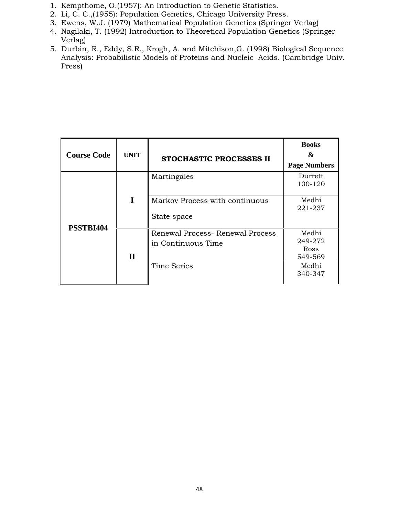- 1. Kempthome, O.(1957): An Introduction to Genetic Statistics.
- 2. Li, C. C.,(1955): Population Genetics, Chicago University Press.
- 3. Ewens, W.J. (1979) Mathematical Population Genetics (Springer Verlag)
- 4. Nagilaki, T. (1992) Introduction to Theoretical Population Genetics (Springer Verlag)
- 5. Durbin, R., Eddy, S.R., Krogh, A. and Mitchison,G. (1998) Biological Sequence Analysis: Probabilistic Models of Proteins and Nucleic Acids. (Cambridge Univ. Press)

| <b>Course Code</b> | <b>UNIT</b>  | <b>STOCHASTIC PROCESSES II</b>                         | <b>Books</b><br>&<br><b>Page Numbers</b> |
|--------------------|--------------|--------------------------------------------------------|------------------------------------------|
|                    |              | Martingales                                            | Durrett<br>100-120                       |
| PSSTBI404          | T            | Markov Process with continuous<br>State space          | Medhi<br>221-237                         |
|                    | $\mathbf{I}$ | Renewal Process- Renewal Process<br>in Continuous Time | Medhi<br>249-272<br>Ross<br>549-569      |
|                    |              | <b>Time Series</b>                                     | Medhi<br>340-347                         |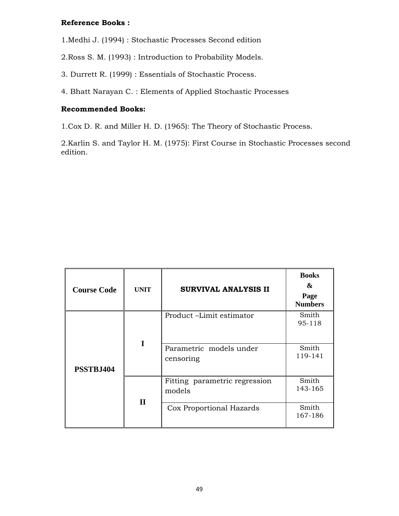1.Medhi J. (1994) : Stochastic Processes Second edition

2.Ross S. M. (1993) : Introduction to Probability Models.

3. Durrett R. (1999) : Essentials of Stochastic Process.

4. Bhatt Narayan C. : Elements of Applied Stochastic Processes

## **Recommended Books:**

1.Cox D. R. and Miller H. D. (1965): The Theory of Stochastic Process.

2.Karlin S. and Taylor H. M. (1975): First Course in Stochastic Processes second edition.

| <b>Course Code</b> | <b>UNIT</b>  | SURVIVAL ANALYSIS II                    | <b>Books</b><br>&<br>Page<br><b>Numbers</b> |
|--------------------|--------------|-----------------------------------------|---------------------------------------------|
|                    |              | Product-Limit estimator                 | Smith<br>95-118                             |
| PSSTBJ404          |              | Parametric models under<br>censoring    | Smith<br>119-141                            |
|                    | $\mathbf{I}$ | Fitting parametric regression<br>models | Smith<br>143-165                            |
|                    |              | Cox Proportional Hazards                | Smith<br>167-186                            |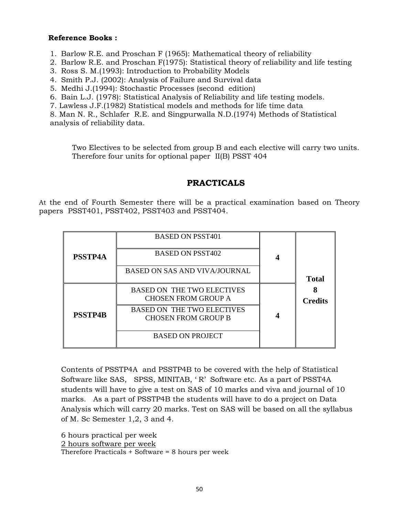- 1. Barlow R.E. and Proschan F (1965): Mathematical theory of reliability
- 2. Barlow R.E. and Proschan F(1975): Statistical theory of reliability and life testing
- 3. Ross S. M.(1993): Introduction to Probability Models
- 4. Smith P.J. (2002): Analysis of Failure and Survival data
- 5. Medhi J.(1994): Stochastic Processes (second edition)
- 6. Bain L.J. (1978): Statistical Analysis of Reliability and life testing models.
- 7. Lawless J.F.(1982) Statistical models and methods for life time data

8. Man N. R., Schlafer R.E. and Singpurwalla N.D.(1974) Methods of Statistical analysis of reliability data.

Two Electives to be selected from group B and each elective will carry two units. Therefore four units for optional paper II(B) PSST 404

## **PRACTICALS**

At the end of Fourth Semester there will be a practical examination based on Theory papers PSST401, PSST402, PSST403 and PSST404.

| <b>PSSTP4A</b> | <b>BASED ON PSST401</b><br><b>BASED ON PSST402</b><br>BASED ON SAS AND VIVA/JOURNAL | <b>Total</b>   |
|----------------|-------------------------------------------------------------------------------------|----------------|
|                | <b>BASED ON THE TWO ELECTIVES</b><br><b>CHOSEN FROM GROUP A</b>                     | <b>Credits</b> |
| <b>PSSTP4B</b> | <b>BASED ON THE TWO ELECTIVES</b><br><b>CHOSEN FROM GROUP B</b>                     |                |
|                | <b>BASED ON PROJECT</b>                                                             |                |

Contents of PSSTP4A and PSSTP4B to be covered with the help of Statistical Software like SAS, SPSS, MINITAB, ' R' Software etc. As a part of PSST4A students will have to give a test on SAS of 10 marks and viva and journal of 10 marks. As a part of PSSTP4B the students will have to do a project on Data Analysis which will carry 20 marks. Test on SAS will be based on all the syllabus of M. Sc Semester 1,2, 3 and 4.

6 hours practical per week

2 hours software per week

Therefore Practicals + Software = 8 hours per week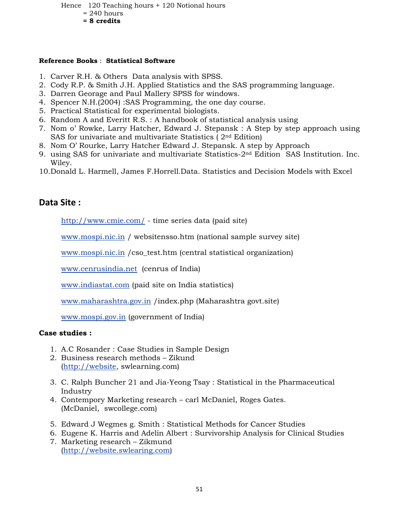Hence 120 Teaching hours + 120 Notional hours

- $= 240$  hours
- **= 8 credits**

#### **Reference Books** : **Statistical Software**

- 1. Carver R.H. & Others Data analysis with SPSS.
- 2. Cody R.P. & Smith J.H. Applied Statistics and the SAS programming language.
- 3. Darren Georage and Paul Mallery SPSS for windows.
- 4. Spencer N.H.(2004) :SAS Programming, the one day course.
- 5. Practical Statistical for experimental biologists.
- 6. Random A and Everitt R.S. : A handbook of statistical analysis using
- 7. Nom o' Rowke, Larry Hatcher, Edward J. Stepansk : A Step by step approach using SAS for univariate and multivariate Statistics ( 2nd Edition)
- 8. Nom O' Rourke, Larry Hatcher Edward J. Stepansk. A step by Approach
- 9. using SAS for univariate and multivariate Statistics-2nd Edition SAS Institution. Inc. Wiley.
- 10.Donald L. Harmell, James F.Horrell.Data. Statistics and Decision Models with Excel

# **Data Site :**

http://www.cmie.com/ - time series data (paid site)

www.mospi.nic.in / websitensso.htm (national sample survey site)

www.mospi.nic.in /cso\_test.htm (central statistical organization)

www.cenrusindia.net (cenrus of India)

www.indiastat.com (paid site on India statistics)

www.maharashtra.gov.in /index.php (Maharashtra govt.site)

www.mospi.gov.in (government of India)

## **Case studies :**

- 1. A.C Rosander : Case Studies in Sample Design
- 2. Business research methods Zikund (http://website, swlearning.com)
- 3. C. Ralph Buncher 21 and Jia-Yeong Tsay : Statistical in the Pharmaceutical Industry
- 4. Contempory Marketing research carl McDaniel, Roges Gates. (McDaniel, swcollege.com)
- 5. Edward J Wegmes g. Smith : Statistical Methods for Cancer Studies
- 6. Eugene K. Harris and Adelin Albert : Survivorship Analysis for Clinical Studies
- 7. Marketing research Zikmund (http://website.swlearing.com)